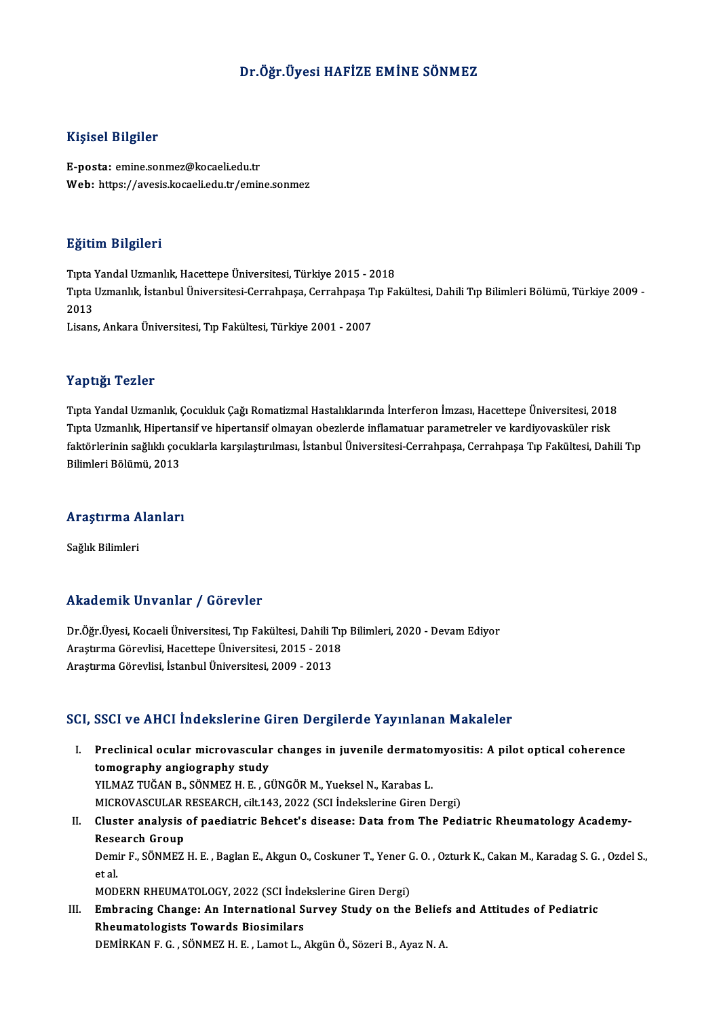### Dr.Öğr. Üyesi HAFİZE EMİNE SÖNMEZ

#### Kişisel Bilgiler

E-posta: emine.sonmez@kocaeli.edu.tr Web: https://avesis.kocaeli.edu.tr/emine.sonmez

#### Eğitim Bilgileri

<mark>Eğitim Bilgileri</mark><br>Tıpta Yandal Uzmanlık, Hacettepe Üniversitesi, Türkiye 2015 - 2018<br>Tınta Uzmanlık, İstanbul Üniversitesi Carrahnasa Carrahnasa Tın Fa Tıpta Uzmanlık, İstanbul Üniversitesi-Cerrahpaşa, Cerrahpaşa Tıp Fakültesi, Dahili Tıp Bilimleri Bölümü, Türkiye 2009 -<br>2013 Tipta<br>Tipta<br>2013<br>Lisans Lisans,AnkaraÜniversitesi,Tıp Fakültesi,Türkiye 2001 -2007

#### Yaptığı Tezler

Tıpta Yandal Uzmanlık, Çocukluk Çağı Romatizmal Hastalıklarında İnterferon İmzası, Hacettepe Üniversitesi, 2018 Tupta<br>Tıpta Yandal Uzmanlık, Çocukluk Çağı Romatizmal Hastalıklarında İnterferon İmzası, Hacettepe Üniversitesi, 2018<br>Tıpta Uzmanlık, Hipertansif ve hipertansif olmayan obezlerde inflamatuar parametreler ve kardiyovasküler Tıpta Yandal Uzmanlık, Çocukluk Çağı Romatizmal Hastalıklarında İnterferon İmzası, Hacettepe Üniversitesi, 2018<br>Tıpta Uzmanlık, Hipertansif ve hipertansif olmayan obezlerde inflamatuar parametreler ve kardiyovasküler risk<br> Tıpta Uzmanlık, Hipertaı<br>faktörlerinin sağlıklı çoc<br>Bilimleri Bölümü, 2013

# <sub>Bulmleri Bolumu, 2013</sub><br>Araştırma Alanları <mark>Araştırma A</mark><br>Sağlık Bilimleri

# Akademik Unvanlar / Görevler

Akademik Unvanlar / Görevler<br>Dr.Öğr.Üyesi, Kocaeli Üniversitesi, Tıp Fakültesi, Dahili Tıp Bilimleri, 2020 - Devam Ediyor<br>Arastuma Görevlisi, Hasettana Üniversitesi, 2015 - 2019 Arastırma Görevlinin 7 dövlevler<br>Dr.Öğr.Üyesi, Kocaeli Üniversitesi, Tıp Fakültesi, Dahili Tıp<br>Araştırma Görevlisi, Hacettepe Üniversitesi, 2015 - 2018<br>Arastırma Görevlisi, İstanbul Üniversitesi, 2009 - 2012 Araştırma Görevlisi, Hacettepe Üniversitesi, 2015 - 2018<br>Araştırma Görevlisi, İstanbul Üniversitesi, 2009 - 2013

#### SCI, SSCI ve AHCI İndekslerine Giren Dergilerde Yayınlanan Makaleler

I. SSCI ve AHCI İndekslerine Giren Dergilerde Yayınlanan Makaleler<br>I. Preclinical ocular microvascular changes in juvenile dermatomyositis: A pilot optical coherence<br>tomography angiography study obot vo find indonesering different<br>Preclinical ocular microvascular<br>tomography angiography study<br>VII MAZ THČAN P. SÖNMEZ H. F. C. Preclinical ocular microvascular changes in juvenile dermato<br>tomography angiography study<br>YILMAZ TUĞAN B., SÖNMEZ H. E. , GÜNGÖR M., Yueksel N., Karabas L.<br>MICPOVASCULAR RESEARCH silt 142, 2022 (SCL Indekslerine Giren F tomography angiography study<br>YILMAZ TUĞAN B., SÖNMEZ H. E. , GÜNGÖR M., Yueksel N., Karabas L.<br>MICROVASCULAR RESEARCH, cilt.143, 2022 (SCI İndekslerine Giren Dergi)<br>Cluster analysis of naodiatris Behset's disease: Data fro YILMAZ TUĞAN B., SÖNMEZ H. E. , GÜNGÖR M., Yueksel N., Karabas L.<br>MICROVASCULAR RESEARCH, cilt.143, 2022 (SCI İndekslerine Giren Dergi)<br>II. Cluster analysis of paediatric Behcet's disease: Data from The Pediatric Rheum MICROVASCULAR<br>Cluster analysis<br>Research Group<br>Domin E. SÖNMEZ

Cluster analysis of paediatric Behcet's disease: Data from The Pediatric Rheumatology Academy-<br>Research Group<br>Demir F., SÖNMEZ H. E. , Baglan E., Akgun O., Coskuner T., Yener G. O. , Ozturk K., Cakan M., Karadag S. G. , Oz Rese<br>Demi<br>et al.<br>MOD Demir F., SÖNMEZ H. E. , Baglan E., Akgun O., Coskuner T., Yener (<br>et al.<br>MODERN RHEUMATOLOGY, 2022 (SCI İndekslerine Giren Dergi)<br>Embrecing Change: An International Survey Study on the

MODERN RHEUMATOLOGY, 2022 (SCI İndekslerine Giren Dergi)

et al.<br>MODERN RHEUMATOLOGY, 2022 (SCI İndekslerine Giren Dergi)<br>III. Embracing Change: An International Survey Study on the Beliefs and Attitudes of Pediatric<br>Rheumatologists Towards Biosimilars DEMİRKAN F. G., SÖNMEZH.E., Lamot L., Akgün Ö., Sözeri B., Ayaz N. A.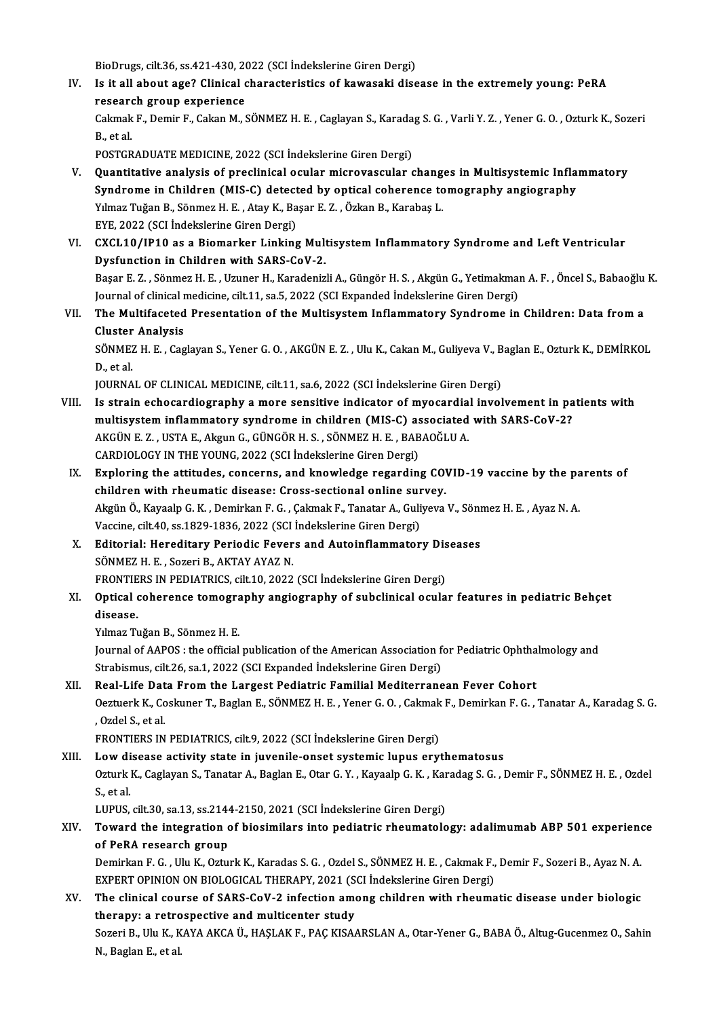BioDrugs, cilt.36, ss.421-430, 2022 (SCI İndekslerine Giren Dergi)<br>Is it all about age? Clinical share staristics of kawasaki disc

IV. Is it all about age? Clinical characteristics of kawasaki disease in the extremely young: PeRA research group experience BioDrugs, cilt.36, ss.421-430, 20<br>Is it all about age? Clinical c<br>research group experience Is it all about age? Clinical characteristics of kawasaki disease in the extremely young: PeRA<br>research group experience<br>Cakmak F., Demir F., Cakan M., SÖNMEZ H. E. , Caglayan S., Karadag S. G. , Varli Y. Z. , Yener G. O. researd<br>Cakmak<br>B., et al.<br>POSTCP Cakmak F., Demir F., Cakan M., SÖNMEZ H. E. , Caglayan S., Karada<br>B., et al.<br>POSTGRADUATE MEDICINE, 2022 (SCI İndekslerine Giren Dergi)<br>Quantitative analysis of preslinisal esular misrovassular s

- B., et al.<br>POSTGRADUATE MEDICINE, 2022 (SCI Indekslerine Giren Dergi)<br>V. Quantitative analysis of preclinical ocular microvascular changes in Multisystemic Inflammatory<br>Syndrome in Children (MISC) detected by enticel seber POSTGRADUATE MEDICINE, 2022 (SCI İndekslerine Giren Dergi)<br>Quantitative analysis of preclinical ocular microvascular changes in Multisystemic Infla<br>Syndrome in Children (MIS-C) detected by optical coherence tomography angi Quantitative analysis of preclinical ocular microvascular chang.<br>Syndrome in Children (MIS-C) detected by optical coherence to<br>Yılmaz Tuğan B., Sönmez H. E. , Atay K., Başar E. Z. , Özkan B., Karabaş L.<br>EVE 2022 (SCL Indek Syndrome in Children (MIS-C) detected by optical coherence tomography angiography<br>Yılmaz Tuğan B., Sönmez H. E. , Atay K., Başar E. Z. , Özkan B., Karabaş L.<br>EYE, 2022 (SCI İndekslerine Giren Dergi) Yılmaz Tuğan B., Sönmez H. E. , Atay K., Başar E. Z. , Özkan B., Karabaş L.<br>EYE, 2022 (SCI İndekslerine Giren Dergi)<br>VI. CXCL10/IP10 as a Biomarker Linking Multisystem Inflammatory Syndrome and Left Ventricular<br>Dygfyngtion
- EYE, 2022 (SCI Indekslerine Giren Dergi)<br>CXCL10/IP10 as a Biomarker Linking Mult<br>Dysfunction in Children with SARS-CoV-2.<br>Pasar E.Z., Sönmar H.E., Umnar H. Karadaniz CXCL10/IP10 as a Biomarker Linking Multisystem Inflammatory Syndrome and Left Ventricular<br>Dysfunction in Children with SARS-CoV-2.<br>Başar E. Z. , Sönmez H. E. , Uzuner H., Karadenizli A., Güngör H. S. , Akgün G., Yetimakman Dysfunction in Children with SARS-CoV-2.<br>Başar E. Z. , Sönmez H. E. , Uzuner H., Karadenizli A., Güngör H. S. , Akgün G., Yetimakmaı<br>Journal of clinical medicine, cilt.11, sa.5, 2022 (SCI Expanded İndekslerine Giren Dergi) Başar E. Z. , Sönmez H. E. , Uzuner H., Karadenizli A., Güngör H. S. , Akgün G., Yetimakman A. F. , Öncel S., Babaoğlu K.<br>Journal of clinical medicine, cilt.11, sa.5, 2022 (SCI Expanded İndekslerine Giren Dergi)<br>VII. The M Journal of clinical r<br>The Multifaceted<br>Cluster Analysis<br>SÖNME7 H E Cog

The Multifaceted Presentation of the Multisystem Inflammatory Syndrome in Children: Data from a<br>Cluster Analysis<br>SÖNMEZ H. E. , Caglayan S., Yener G. O. , AKGÜN E. Z. , Ulu K., Cakan M., Guliyeva V., Baglan E., Ozturk K., Cluster<br>SÖNMEZ<br>D., et al.<br>JOUPNA SÖNMEZ H. E. , Caglayan S., Yener G. O. , AKGÜN E. Z. , Ulu K., Cakan M., Guliyeva V., B<br>D., et al.<br>JOURNAL OF CLINICAL MEDICINE, cilt.11, sa.6, 2022 (SCI İndekslerine Giren Dergi)<br>Is etnain ashesendiasınanbu a mana sensit

- D., et al.<br>JOURNAL OF CLINICAL MEDICINE, cilt.11, sa.6, 2022 (SCI Indekslerine Giren Dergi)<br>VIII. Is strain echocardiography a more sensitive indicator of myocardial involvement in patients with<br>multisystem inflammatery sy JOURNAL OF CLINICAL MEDICINE, cilt.11, sa.6, 2022 (SCI İndekslerine Giren Dergi)<br>Is strain echocardiography a more sensitive indicator of myocardial involvement in pa<br>multisystem inflammatory syndrome in children (MIS-C) a Is strain echocardiography a more sensitive indicator of myocardia<br>multisystem inflammatory syndrome in children (MIS-C) associated<br>AKGÜN E. Z. , USTA E., Akgun G., GÜNGÖR H. S. , SÖNMEZ H. E. , BABAOĞLU A.<br>CARDIOLOCY IN T multisystem inflammatory syndrome in children (MIS-C) as<br>AKGÜN E. Z. , USTA E., Akgun G., GÜNGÖR H. S. , SÖNMEZ H. E. , BAB<br>CARDIOLOGY IN THE YOUNG, 2022 (SCI İndekslerine Giren Dergi)<br>Explering the attitudes, senserns, an AKGÜN E. Z. , USTA E., Akgun G., GÜNGÖR H. S. , SÖNMEZ H. E. , BABAOĞLU A.<br>CARDIOLOGY IN THE YOUNG, 2022 (SCI İndekslerine Giren Dergi)<br>IX. Exploring the attitudes, concerns, and knowledge regarding COVID-19 vaccine by the
- CARDIOLOGY IN THE YOUNG, 2022 (SCI indekslerine Giren Dergi)<br>Exploring the attitudes, concerns, and knowledge regarding CO'<br>children with rheumatic disease: Cross-sectional online survey.<br>Akgün Ö. Kaysala C. K., Dominkan E Exploring the attitudes, concerns, and knowledge regarding COVID-19 vaccine by the pa<br>children with rheumatic disease: Cross-sectional online survey.<br>Akgün Ö., Kayaalp G. K. , Demirkan F. G. , Çakmak F., Tanatar A., Guliye children with rheumatic disease: Cross-sectional online survey.<br>Akgün Ö., Kayaalp G. K. , Demirkan F. G. , Çakmak F., Tanatar A., Guliyeva V., Sönmez H. E. , Ayaz N. A.<br>Vaccine, cilt.40, ss.1829-1836, 2022 (SCI İndekslerin Akgün Ö., Kayaalp G. K. , Demirkan F. G. , Çakmak F., Tanatar A., Guliyeva V., Söni<br>Vaccine, cilt.40, ss.1829-1836, 2022 (SCI İndekslerine Giren Dergi)<br>X. Editorial: Hereditary Periodic Fevers and Autoinflammatory Diseases
- SÖNMEZ H. E., Sozeri B., AKTAY AYAZ N. Editorial: Hereditary Periodic Fevers and Autoinflammatory Dis<br>SÖNMEZ H. E. , Sozeri B., AKTAY AYAZ N.<br>FRONTIERS IN PEDIATRICS, cilt.10, 2022 (SCI İndekslerine Giren Dergi)<br>Ontical sabarance tamasınanbu ansiasınanbu of sub
- SÖNMEZ H. E. , Sozeri B., AKTAY AYAZ N.<br>FRONTIERS IN PEDIATRICS, cilt.10, 2022 (SCI İndekslerine Giren Dergi)<br>XI. Optical coherence tomography angiography of subclinical ocular features in pediatric Behçet<br>disesse FRONTIERS IN PEDIATRICS, cilt.10, 2022 (SCI İndekslerine Giren Dergi)<br>Optical coherence tomography angiography of subclinical ocula<br>disease.<br>Yılmaz Tuğan B., Sönmez H. E. **Optical coherence tomogra<br>disease.<br>Yılmaz Tuğan B., Sönmez H. E.**<br>Journal of AAPOS : the official

disease.<br>Yılmaz Tuğan B., Sönmez H. E.<br>Journal of AAPOS : the official publication of the American Association for Pediatric Ophthalmology and<br>Strebismus, silt 26, so.1, 2022 (SCL Eupended Indekslerine Ciren Dergi) Yılmaz Tuğan B., Sönmez H. E.<br>Journal of AAPOS : the official publication of the American Association fo<br>Strabismus, cilt.26, sa.1, 2022 (SCI Expanded İndekslerine Giren Dergi)<br>Poel Life Data Enem the Largest Pediatria Fam Journal of AAPOS : the official publication of the American Association for Pediatric Ophtha<br>Strabismus, cilt.26, sa.1, 2022 (SCI Expanded Indekslerine Giren Dergi)<br>XII. Real-Life Data From the Largest Pediatric Familial M

## Strabismus, cilt.26, sa.1, 2022 (SCI Expanded İndekslerine Giren Dergi)<br>Real-Life Data From the Largest Pediatric Familial Mediterranean Fever Cohort<br>Oeztuerk K., Coskuner T., Baglan E., SÖNMEZ H. E. , Yener G. O. , Cakmak Real-Life Dat<br>Oeztuerk K., Co<br>, Ozdel S., et al.<br>EPONTIEPS IN Oeztuerk K., Coskuner T., Baglan E., SÖNMEZ H. E. , Yener G. O. , Cakmak<br>, Ozdel S., et al.<br>FRONTIERS IN PEDIATRICS, cilt.9, 2022 (SCI İndekslerine Giren Dergi)<br>Low disease astivity state in iuvenile anset systemis lunus e Soleh S., et al.<br>FRONTIERS IN PEDIATRICS, cilt. (19, 2022 (SCI Indekslerine Giren Dergi)<br>XIII. Low disease activity state in juvenile-onset systemic lupus erythematosus<br>Orturk K. Coclaven S. Tanatar A. Baclan E. Otar G. Y.

FRONTIERS IN PEDIATRICS, cilt.9, 2022 (SCI İndekslerine Giren Dergi)<br>Low disease activity state in juvenile-onset systemic lupus erythematosus<br>Ozturk K., Caglayan S., Tanatar A., Baglan E., Otar G. Y. , Kayaalp G. K. , Kar Low di<br>Ozturk<br>S., et al.<br>LUDUS Ozturk K., Caglayan S., Tanatar A., Baglan E., Otar G. Y. , Kayaalp G. K. , Kar<br>S., et al.<br>LUPUS, cilt.30, sa.13, ss.2144-2150, 2021 (SCI İndekslerine Giren Dergi)<br>Toward the integration of biosimilers inte nedistris rhaum

## S., et al.<br>LUPUS, cilt.30, sa.13, ss.2144-2150, 2021 (SCI İndekslerine Giren Dergi)<br>XIV. Toward the integration of biosimilars into pediatric rheumatology: adalimumab ABP 501 experience<br>of BoBA reseersh speup LUPUS, cilt.30, sa.13, ss.2144<br>Toward the integration cof PeRA research group Toward the integration of biosimilars into pediatric rheumatology: adalimumab ABP 501 experienc<br>of PeRA research group<br>Demirkan F. G. , Ulu K., Ozturk K., Karadas S. G. , Ozdel S., SÖNMEZ H. E. , Cakmak F., Demir F., Sozer

of PeRA research group<br>Demirkan F. G. , Ulu K., Ozturk K., Karadas S. G. , Ozdel S., SÖNMEZ H. E. , Cakmak F.,<br>EXPERT OPINION ON BIOLOGICAL THERAPY, 2021 (SCI İndekslerine Giren Dergi)<br>The elinisel seurse of SARS GeV. 3 in Demirkan F. G. , Ulu K., Ozturk K., Karadas S. G. , Ozdel S., SÖNMEZ H. E. , Cakmak F., Demir F., Sozeri B., Ayaz N. A.<br>EXPERT OPINION ON BIOLOGICAL THERAPY, 2021 (SCI İndekslerine Giren Dergi)<br>XV. The clinical course of S

# EXPERT OPINION ON BIOLOGICAL THERAPY, 2021 (STREET COURTS)<br>The clinical course of SARS-CoV-2 infection amendmulticenter study<br>Sereri B, Ulu K, KAYA AKGA (ULASLAK E, BAC KISA) The clinical course of SARS-CoV-2 infection among children with rheumatic disease under biologic<br>therapy: a retrospective and multicenter study<br>Sozeri B., Ulu K., KAYA AKCA Ü., HAŞLAK F., PAÇ KISAARSLAN A., Otar-Yener G.,

therapy: a retrospective and multicenter study<br>Sozeri B., Ulu K., KAYA AKCA Ü., HAŞLAK F., PAÇ KISAARSLAN A., Otar-Yener G., BABA Ö., Altug-Gucenmez O., Sahin<br>N., Baglan E., et al.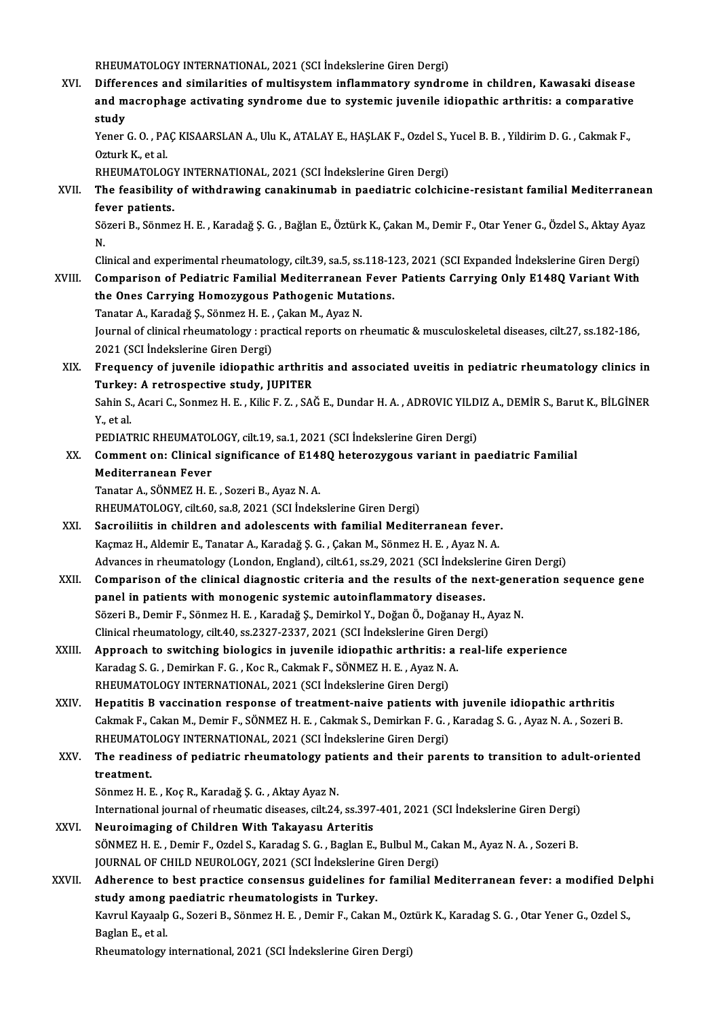RHEUMATOLOGY INTERNATIONAL, 2021 (SCI İndekslerine Giren Dergi)

XVI. Differences and similarities ofmultisysteminflammatory syndrome in children, Kawasaki disease RHEUMATOLOGY INTERNATIONAL, 2021 (SCI İndekslerine Giren Dergi)<br>Differences and similarities of multisystem inflammatory syndrome in children, Kawasaki disease<br>and macrophage activating syndrome due to systemic juvenile id Differ<br>and m<br>study<br><sup>Vonor</sup> and macrophage activating syndrome due to systemic juvenile idiopathic arthritis: a comparative<br>study<br>Yener G. O. , PAÇ KISAARSLAN A., Ulu K., ATALAY E., HAŞLAK F., Ozdel S., Yucel B. B. , Yildirim D. G. , Cakmak F.,<br>Oztur

**study<br>Yener G. O. , PA<br>Ozturk K., et al.<br>RHEUMATOLOG** Yener G. O. , PAÇ KISAARSLAN A., Ulu K., ATALAY E., HAŞLAK F., Ozdel S., '<br>Ozturk K., et al.<br>RHEUMATOLOGY INTERNATIONAL, 2021 (SCI İndekslerine Giren Dergi)<br>The feasibility of withdrawing sanakinumab in peodiatris salsbis

RHEUMATOLOGY INTERNATIONAL, 2021 (SCI İndekslerine Giren Dergi)

Ozturk K., et al.<br>RHEUMATOLOGY INTERNATIONAL, 2021 (SCI İndekslerine Giren Dergi)<br>XVII. The feasibility of withdrawing canakinumab in paediatric colchicine-resistant familial Mediterranean<br>fever patients. The feasibility of withdrawing canakinumab in paediatric colchicine-resistant familial Mediterraneaı<br>fever patients.<br>Sözeri B., Sönmez H. E. , Karadağ Ş. G. , Bağlan E., Öztürk K., Çakan M., Demir F., Otar Yener G., Özdel

fe<br>Sö<br>N. Sözeri B., Sönmez H. E. , Karadağ Ş. G. , Bağlan E., Öztürk K., Çakan M., Demir F., Otar Yener G., Özdel S., Aktay Ayaz<br>N.<br>Clinical and experimental rheumatology, cilt.39, sa.5, ss.118-123, 2021 (SCI Expanded İndekslerine

N.<br>Clinical and experimental rheumatology, cilt.39, sa.5, ss.118-123, 2021 (SCI Expanded İndekslerine Giren Dergi)<br>XVIII. Comparison of Pediatric Familial Mediterranean Fever Patients Carrying Only E148Q Variant With

- Clinical and experimental rheumatology, cilt.39, sa.5, ss.118-1:<br>Comparison of Pediatric Familial Mediterranean Fever<br>the Ones Carrying Homozygous Pathogenic Mutations.<br>Tanstan A. Karodağ S. Sönmeg H. E. Colson M. Ayaz N. Comparison of Pediatric Familial Mediterranean<br>the Ones Carrying Homozygous Pathogenic Muta<br>Tanatar A., Karadağ Ş., Sönmez H. E. , Çakan M., Ayaz N.<br>Journal of clinical rhoumatelegy : nrestical reports on r Journal of clinical rheumatology : practical reports on rheumatic & musculoskeletal diseases, cilt.27, ss.182-186, 2021 (SCI Indekslerine Giren Dergi) Tanatar A., Karadağ Ş., Sönmez H. E., Çakan M., Ayaz N.
- Journal of clinical rheumatology : practical reports on rheumatic & musculoskeletal diseases, cilt.27, ss.182-186,<br>2021 (SCI İndekslerine Giren Dergi)<br>XIX. Frequency of juvenile idiopathic arthritis and associated uveitis 2021 (SCI İndekslerine Giren Dergi)<br>Frequency of juvenile idiopathic arthrit<br>Turkey: A retrospective study, JUPITER<br>Sebin S. Agari G. Sonmer H. E. Kilis E.Z., SAİ Frequency of juvenile idiopathic arthritis and associated uveitis in pediatric rheumatology clinics in<br>Turkey: A retrospective study, JUPITER<br>Sahin S., Acari C., Sonmez H. E. , Kilic F. Z. , SAĞ E., Dundar H. A. , ADROVIC

T<mark>urkey</mark><br>Sahin S.<br>Y., et al. Sahin S., Acari C., Sonmez H. E. , Kilic F. Z. , SAĞ E., Dundar H. A. , ADROVIC YILD<br>Y., et al.<br>PEDIATRIC RHEUMATOLOGY, cilt.19, sa.1, 2021 (SCI İndekslerine Giren Dergi)<br>Comment on: Clinical significance of F1480 beterozy

Y., et al.<br>PEDIATRIC RHEUMATOLOGY, cilt.19, sa.1, 2021 (SCI İndekslerine Giren Dergi)<br>XX. Comment on: Clinical significance of E148Q heterozygous variant in paediatric Familial<br>Mediterranean Foyer PEDIATRIC RHEUMATOI<br>Comment on: Clinical<br>Mediterranean Fever<br>Tanatar A SÖNMEZ U E Comment on: Clinical significance of E14;<br>Mediterranean Fever<br>Tanatar A., SÖNMEZ H. E. , Sozeri B., Ayaz N. A.<br>PHEUMATOLOCY, silt 60, sa 8, 2021 (SSL Indek Mediterranean Fever<br>Tanatar A., SÖNMEZ H. E. , Sozeri B., Ayaz N. A.<br>RHEUMATOLOGY, cilt.60, sa.8, 2021 (SCI İndekslerine Giren Dergi)

- Tanatar A., SÖNMEZ H. E. , Sozeri B., Ayaz N. A.<br>RHEUMATOLOGY, cilt.60, sa.8, 2021 (SCI İndekslerine Giren Dergi)<br>XXI. Sacroiliitis in children and adolescents with familial Mediterranean fever.<br>Kacroilitis in children and RHEUMATOLOGY, cilt.60, sa.8, 2021 (SCI İndekslerine Giren Dergi)<br>Sacroiliitis in children and adolescents with familial Mediterranean fever<br>Kaçmaz H., Aldemir E., Tanatar A., Karadağ Ş. G. , Çakan M., Sönmez H. E. , Ayaz N Sacroiliitis in children and adolescents with familial Mediterranean fever.<br>Kaçmaz H., Aldemir E., Tanatar A., Karadağ Ş. G. , Çakan M., Sönmez H. E. , Ayaz N. A.<br>Advances in rheumatology (London, England), cilt.61, ss.29,
- Kaçmaz H., Aldemir E., Tanatar A., Karadağ Ş. G. , Çakan M., Sönmez H. E. , Ayaz N. A.<br>Advances in rheumatology (London, England), cilt.61, ss.29, 2021 (SCI İndekslerine Giren Dergi)<br>XXII. Comparison of the clinical diagno Advances in rheumatology (London, England), cilt.61, ss.29, 2021 (SCI İndeksler<br>Comparison of the clinical diagnostic criteria and the results of the ne:<br>panel in patients with monogenic systemic autoinflammatory diseases. Comparison of the clinical diagnostic criteria and the results of the next-gene<br>panel in patients with monogenic systemic autoinflammatory diseases.<br>Sözeri B., Demir F., Sönmez H. E., Karadağ Ş., Demirkol Y., Doğan Ö., Doğ panel in patients with monogenic systemic autoinflammatory diseases.<br>Sözeri B., Demir F., Sönmez H. E. , Karadağ Ş., Demirkol Y., Doğan Ö., Doğanay H., A<br>Clinical rheumatology, cilt.40, ss.2327-2337, 2021 (SCI İndekslerine Clinical rheumatology, cilt.40, ss.2327-2337, 2021 (SCI Indekslerine Giren Dergi)<br>XXIII. Approach to switching biologics in juvenile idiopathic arthritis: a real-life experience
- Clinical rheumatology, cilt.40, ss.2327-2337, 2021 (SCI İndekslerine Giren I<br>Approach to switching biologics in juvenile idiopathic arthritis: a<br>Karadag S.G., Demirkan F.G., Koc R., Cakmak F., SÖNMEZ H.E., Ayaz N.A.<br>RHEUMA Approach to switching biologics in juvenile idiopathic arthritis: a<br>Karadag S. G. , Demirkan F. G. , Koc R., Cakmak F., SÖNMEZ H. E. , Ayaz N. .<br>RHEUMATOLOGY INTERNATIONAL, 2021 (SCI İndekslerine Giren Dergi)<br>Hanatitis B v
- RHEUMATOLOGY INTERNATIONAL, 2021 (SCI Indekslerine Giren Dergi)<br>XXIV. Hepatitis B vaccination response of treatment-naive patients with juvenile idiopathic arthritis RHEUMATOLOGY INTERNATIONAL, 2021 (SCI İndekslerine Giren Dergi)<br>Hepatitis B vaccination response of treatment-naive patients with juvenile idiopathic arthritis<br>Cakmak F., Cakan M., Demir F., SÖNMEZ H. E. , Cakmak S., Demir Hepatitis B vaccination response of treatment-naive patients wit<br>Cakmak F., Cakan M., Demir F., SÖNMEZ H. E. , Cakmak S., Demirkan F. G. ,<br>RHEUMATOLOGY INTERNATIONAL, 2021 (SCI İndekslerine Giren Dergi)<br>The readiness of ne Cakmak F., Cakan M., Demir F., SÖNMEZ H. E. , Cakmak S., Demirkan F. G. , Karadag S. G. , Ayaz N. A. , Sozeri B.<br>RHEUMATOLOGY INTERNATIONAL, 2021 (SCI İndekslerine Giren Dergi)<br>XXV. The readiness of pediatric rheumatology

## RHEUMATOLOGY INTERNATIONAL, 2021 (SCI İndekslerine Giren Dergi)<br>The readiness of pediatric rheumatology patients and their parents to transition to adult-oriented<br>treatment. The readiness of pediatric rheumatology pat<br>treatment.<br>Sönmez H. E. , Koç R., Karadağ Ş. G. , Aktay Ayaz N.<br>International journal of rheumatic diseases, silt 24 treatment.<br>Sönmez H. E. , Koç R., Karadağ Ş. G. , Aktay Ayaz N.<br>International journal of rheumatic diseases, cilt.24, ss.397-401, 2021 (SCI İndekslerine Giren Dergi)<br>Neunsimaging of Children With Tekaysey, Arteritis.

- Sönmez H. E., Koç R., Karadağ Ş. G., Aktay Ayaz N.<br>International journal of rheumatic diseases, cilt.24, ss.397<br>XXVI. Neuroimaging of Children With Takayasu Arteritis International journal of rheumatic diseases, cilt.24, ss.397-401, 2021 (SCI İndekslerine Giren Dergi)<br>Neuroimaging of Children With Takayasu Arteritis<br>SÖNMEZ H. E. , Demir F., Ozdel S., Karadag S. G. , Baglan E., Bulbul M. Neuroimaging of Children With Takayasu Arteritis<br>SÖNMEZ H. E. , Demir F., Ozdel S., Karadag S. G. , Baglan E., Bulbul M., Cakan M., Ayaz N. A. , Sozeri B.<br>JOURNAL OF CHILD NEUROLOGY, 2021 (SCI İndekslerine Giren Dergi)
- XXVII. Adherence to best practice consensus guidelines for familial Mediterranean fever: a modified Delphi study among paediatric rheumatologists in Turkey. Adherence to best practice consensus guidelines for familial Mediterranean fever: a modified De<br>study among paediatric rheumatologists in Turkey.<br>Kavrul Kayaalp G., Sozeri B., Sönmez H. E. , Demir F., Cakan M., Oztürk K.,

<mark>study among</mark><br>Kavrul Kayaalp<br>Baglan E., et al.<br><sup>Dhoumatology</sup> Kavrul Kayaalp G., Sozeri B., Sönmez H. E. , Demir F., Cakan M., Oz!<br>Baglan E., et al.<br>Rheumatology international, 2021 (SCI İndekslerine Giren Dergi)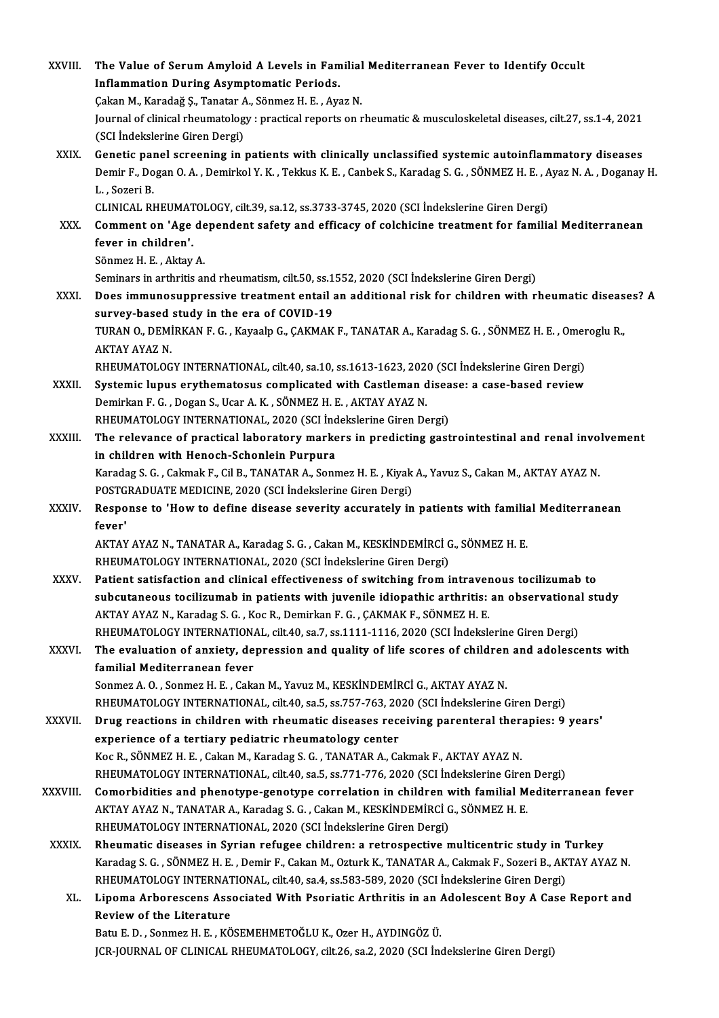| XXVIII.       | The Value of Serum Amyloid A Levels in Familial Mediterranean Fever to Identify Occult                                                                                                      |
|---------------|---------------------------------------------------------------------------------------------------------------------------------------------------------------------------------------------|
|               | Inflammation During Asymptomatic Periods.                                                                                                                                                   |
|               | Çakan M., Karadağ Ş., Tanatar A., Sönmez H. E., Ayaz N.                                                                                                                                     |
|               | Journal of clinical rheumatology : practical reports on rheumatic & musculoskeletal diseases, cilt.27, ss.1-4, 2021                                                                         |
|               | (SCI İndekslerine Giren Dergi)                                                                                                                                                              |
| XXIX.         | Genetic panel screening in patients with clinically unclassified systemic autoinflammatory diseases                                                                                         |
|               | Demir F., Dogan O. A., Demirkol Y. K., Tekkus K. E., Canbek S., Karadag S. G., SÖNMEZ H. E., Ayaz N. A., Doganay H.                                                                         |
|               | L., Sozeri B.                                                                                                                                                                               |
|               | CLINICAL RHEUMATOLOGY, cilt.39, sa.12, ss.3733-3745, 2020 (SCI İndekslerine Giren Dergi)                                                                                                    |
| XXX.          | Comment on 'Age dependent safety and efficacy of colchicine treatment for familial Mediterranean<br>fever in children'.                                                                     |
|               | Sönmez H. E., Aktay A.                                                                                                                                                                      |
|               | Seminars in arthritis and rheumatism, cilt.50, ss.1552, 2020 (SCI Indekslerine Giren Dergi)                                                                                                 |
| XXXI.         | Does immunosuppressive treatment entail an additional risk for children with rheumatic diseases? A                                                                                          |
|               | survey-based study in the era of COVID-19                                                                                                                                                   |
|               | TURAN O., DEMİRKAN F. G., Kayaalp G., ÇAKMAK F., TANATAR A., Karadag S. G., SÖNMEZ H. E., Omeroglu R.,                                                                                      |
|               | <b>AKTAY AYAZ N.</b>                                                                                                                                                                        |
|               | RHEUMATOLOGY INTERNATIONAL, cilt.40, sa.10, ss.1613-1623, 2020 (SCI İndekslerine Giren Dergi)                                                                                               |
| XXXII.        | Systemic lupus erythematosus complicated with Castleman disease: a case-based review                                                                                                        |
|               | Demirkan F. G., Dogan S., Ucar A. K., SÖNMEZ H. E., AKTAY AYAZ N.                                                                                                                           |
|               | RHEUMATOLOGY INTERNATIONAL, 2020 (SCI İndekslerine Giren Dergi)                                                                                                                             |
| XXXIII.       | The relevance of practical laboratory markers in predicting gastrointestinal and renal involvement                                                                                          |
|               | in children with Henoch-Schonlein Purpura<br>Karadag S. G., Cakmak F., Cil B., TANATAR A., Sonmez H. E., Kiyak A., Yavuz S., Cakan M., AKTAY AYAZ N.                                        |
|               | POSTGRADUATE MEDICINE, 2020 (SCI İndekslerine Giren Dergi)                                                                                                                                  |
| <b>XXXIV</b>  | Response to 'How to define disease severity accurately in patients with familial Mediterranean                                                                                              |
|               | fever'                                                                                                                                                                                      |
|               | AKTAY AYAZ N., TANATAR A., Karadag S. G., Cakan M., KESKİNDEMİRCİ G., SÖNMEZ H. E.                                                                                                          |
|               | RHEUMATOLOGY INTERNATIONAL, 2020 (SCI İndekslerine Giren Dergi)                                                                                                                             |
| <b>XXXV</b>   | Patient satisfaction and clinical effectiveness of switching from intravenous tocilizumab to                                                                                                |
|               | subcutaneous tocilizumab in patients with juvenile idiopathic arthritis: an observational study                                                                                             |
|               | AKTAY AYAZ N., Karadag S. G., Koc R., Demirkan F. G., ÇAKMAK F., SÖNMEZ H. E.                                                                                                               |
|               | RHEUMATOLOGY INTERNATIONAL, cilt.40, sa.7, ss.1111-1116, 2020 (SCI Indekslerine Giren Dergi)                                                                                                |
| XXXVI.        | The evaluation of anxiety, depression and quality of life scores of children and adolescents with<br>familial Mediterranean fever                                                           |
|               | Sonmez A. O., Sonmez H. E., Cakan M., Yavuz M., KESKİNDEMİRCİ G., AKTAY AYAZ N.                                                                                                             |
|               | RHEUMATOLOGY INTERNATIONAL, cilt.40, sa.5, ss.757-763, 2020 (SCI İndekslerine Giren Dergi)                                                                                                  |
| <b>XXXVII</b> | Drug reactions in children with rheumatic diseases receiving parenteral therapies: 9 years'                                                                                                 |
|               | experience of a tertiary pediatric rheumatology center                                                                                                                                      |
|               | Koc R., SÖNMEZ H. E., Cakan M., Karadag S. G., TANATAR A., Cakmak F., AKTAY AYAZ N.                                                                                                         |
|               | RHEUMATOLOGY INTERNATIONAL, cilt.40, sa.5, ss.771-776, 2020 (SCI İndekslerine Giren Dergi)                                                                                                  |
| XXXVIII.      | Comorbidities and phenotype-genotype correlation in children with familial Mediterranean fever                                                                                              |
|               | AKTAY AYAZ N., TANATAR A., Karadag S. G., Cakan M., KESKİNDEMİRCİ G., SÖNMEZ H. E.                                                                                                          |
|               | RHEUMATOLOGY INTERNATIONAL, 2020 (SCI Indekslerine Giren Dergi)                                                                                                                             |
| <b>XXXIX</b>  | Rheumatic diseases in Syrian refugee children: a retrospective multicentric study in Turkey                                                                                                 |
|               | Karadag S. G., SÖNMEZ H. E., Demir F., Cakan M., Ozturk K., TANATAR A., Cakmak F., Sozeri B., AKTAY AYAZ N.                                                                                 |
| XL.           | RHEUMATOLOGY INTERNATIONAL, cilt.40, sa.4, ss.583-589, 2020 (SCI Indekslerine Giren Dergi)<br>Lipoma Arborescens Associated With Psoriatic Arthritis in an Adolescent Boy A Case Report and |
|               | Review of the Literature                                                                                                                                                                    |
|               | Batu E. D., Sonmez H. E., KÖSEMEHMETOĞLU K., Ozer H., AYDINGÖZ Ü.                                                                                                                           |
|               | JCR-JOURNAL OF CLINICAL RHEUMATOLOGY, cilt.26, sa.2, 2020 (SCI Indekslerine Giren Dergi)                                                                                                    |
|               |                                                                                                                                                                                             |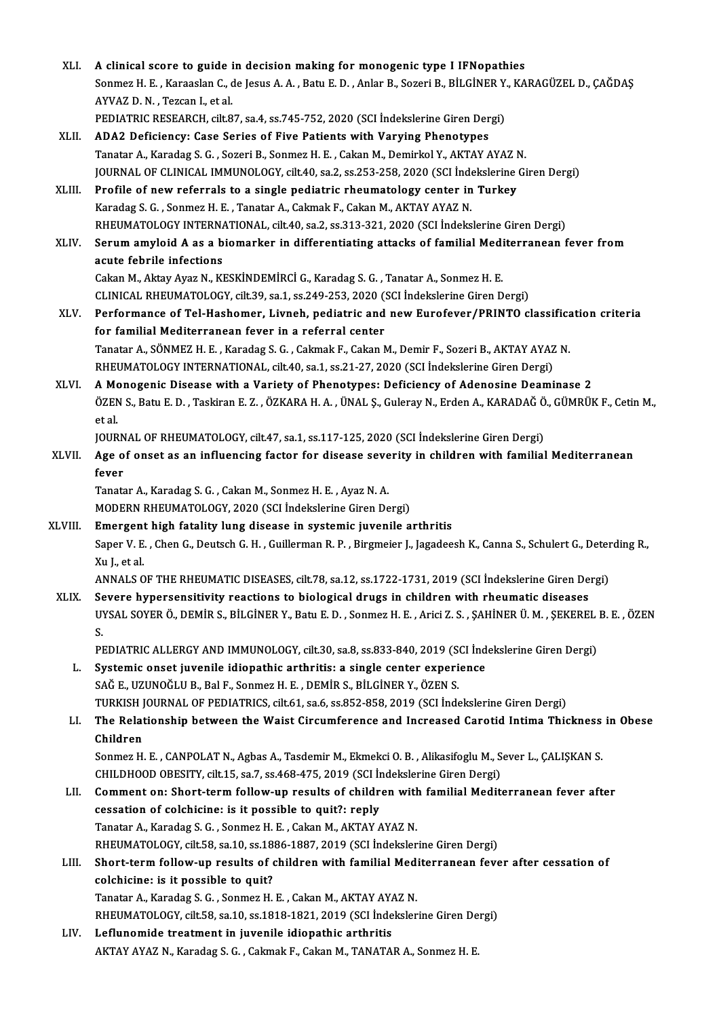| XLI.    | A clinical score to guide in decision making for monogenic type I IFNopathies                                                                      |
|---------|----------------------------------------------------------------------------------------------------------------------------------------------------|
|         | Sonmez H. E. , Karaaslan C., de Jesus A. A. , Batu E. D. , Anlar B., Sozeri B., BİLGİNER Y., KARAGÜZEL D., ÇAĞDAŞ<br>AYVAZ D. N., Tezcan I, et al. |
|         | PEDIATRIC RESEARCH, cilt.87, sa.4, ss.745-752, 2020 (SCI Indekslerine Giren Dergi)                                                                 |
| XLII.   | ADA2 Deficiency: Case Series of Five Patients with Varying Phenotypes                                                                              |
|         | Tanatar A., Karadag S. G., Sozeri B., Sonmez H. E., Cakan M., Demirkol Y., AKTAY AYAZ N.                                                           |
|         | JOURNAL OF CLINICAL IMMUNOLOGY, cilt40, sa.2, ss.253-258, 2020 (SCI İndekslerine Giren Dergi)                                                      |
| XLIII.  | Profile of new referrals to a single pediatric rheumatology center in Turkey                                                                       |
|         | Karadag S. G., Sonmez H. E., Tanatar A., Cakmak F., Cakan M., AKTAY AYAZ N.                                                                        |
|         | RHEUMATOLOGY INTERNATIONAL, cilt.40, sa.2, ss.313-321, 2020 (SCI Indekslerine Giren Dergi)                                                         |
| XLIV.   | Serum amyloid A as a biomarker in differentiating attacks of familial Mediterranean fever from                                                     |
|         | acute febrile infections                                                                                                                           |
|         | Cakan M., Aktay Ayaz N., KESKİNDEMİRCİ G., Karadag S. G. , Tanatar A., Sonmez H. E.                                                                |
|         | CLINICAL RHEUMATOLOGY, cilt.39, sa.1, ss.249-253, 2020 (SCI Indekslerine Giren Dergi)                                                              |
| XLV.    | Performance of Tel-Hashomer, Livneh, pediatric and new Eurofever/PRINTO classification criteria                                                    |
|         | for familial Mediterranean fever in a referral center                                                                                              |
|         | Tanatar A., SÖNMEZ H. E., Karadag S. G., Cakmak F., Cakan M., Demir F., Sozeri B., AKTAY AYAZ N.                                                   |
|         | RHEUMATOLOGY INTERNATIONAL, cilt.40, sa.1, ss.21-27, 2020 (SCI Indekslerine Giren Dergi)                                                           |
| XLVI.   | A Monogenic Disease with a Variety of Phenotypes: Deficiency of Adenosine Deaminase 2                                                              |
|         | ÖZEN S., Batu E. D., Taskiran E. Z., ÖZKARA H. A., ÜNAL Ş., Guleray N., Erden A., KARADAĞ Ö., GÜMRÜK F., Cetin M.,<br>et al.                       |
|         | JOURNAL OF RHEUMATOLOGY, cilt.47, sa.1, ss.117-125, 2020 (SCI Indekslerine Giren Dergi)                                                            |
| XLVII.  | Age of onset as an influencing factor for disease severity in children with familial Mediterranean<br>fever                                        |
|         | Tanatar A., Karadag S. G., Cakan M., Sonmez H. E., Ayaz N. A.                                                                                      |
|         | MODERN RHEUMATOLOGY, 2020 (SCI İndekslerine Giren Dergi)                                                                                           |
| XLVIII. | Emergent high fatality lung disease in systemic juvenile arthritis                                                                                 |
|         | Saper V. E., Chen G., Deutsch G. H., Guillerman R. P., Birgmeier J., Jagadeesh K., Canna S., Schulert G., Deterding R.,                            |
|         | Xu L. et al. .                                                                                                                                     |
|         | ANNALS OF THE RHEUMATIC DISEASES, cilt.78, sa.12, ss.1722-1731, 2019 (SCI Indekslerine Giren Dergi)                                                |
| XLIX.   | Severe hypersensitivity reactions to biological drugs in children with rheumatic diseases                                                          |
|         | UYSAL SOYER Ö., DEMİR S., BİLGİNER Y., Batu E. D. , Sonmez H. E. , Arici Z. S. , ŞAHİNER Ü. M. , ŞEKEREL B. E. , ÖZEN<br>S.                        |
|         | PEDIATRIC ALLERGY AND IMMUNOLOGY, cilt.30, sa.8, ss.833-840, 2019 (SCI Indekslerine Giren Dergi)                                                   |
| L.      | Systemic onset juvenile idiopathic arthritis: a single center experience                                                                           |
|         | SAĞ E., UZUNOĞLU B., Bal F., Sonmez H. E. , DEMİR S., BİLGİNER Y., ÖZEN S.                                                                         |
|         | TURKISH JOURNAL OF PEDIATRICS, cilt.61, sa.6, ss.852-858, 2019 (SCI İndekslerine Giren Dergi)                                                      |
| LI.     | The Relationship between the Waist Circumference and Increased Carotid Intima Thickness in Obese                                                   |
|         | Children                                                                                                                                           |
|         | Sonmez H. E., CANPOLAT N., Agbas A., Tasdemir M., Ekmekci O. B., Alikasifoglu M., Sever L., CALISKAN S.                                            |
|         | CHILDHOOD OBESITY, cilt.15, sa.7, ss.468-475, 2019 (SCI İndekslerine Giren Dergi)                                                                  |
| LII.    | Comment on: Short-term follow-up results of children with familial Mediterranean fever after                                                       |
|         | cessation of colchicine: is it possible to quit?: reply                                                                                            |
|         | Tanatar A., Karadag S. G., Sonmez H. E., Cakan M., AKTAY AYAZ N.                                                                                   |
|         | RHEUMATOLOGY, cilt.58, sa.10, ss.1886-1887, 2019 (SCI İndekslerine Giren Dergi)                                                                    |
| LIII.   | Short-term follow-up results of children with familial Mediterranean fever after cessation of                                                      |
|         | colchicine: is it possible to quit?                                                                                                                |
|         | Tanatar A., Karadag S. G., Sonmez H. E., Cakan M., AKTAY AYAZ N.                                                                                   |
|         | RHEUMATOLOGY, cilt.58, sa.10, ss.1818-1821, 2019 (SCI Indekslerine Giren Dergi)                                                                    |
| LIV.    | Leflunomide treatment in juvenile idiopathic arthritis                                                                                             |
|         | AKTAY AYAZ N., Karadag S. G., Cakmak F., Cakan M., TANATAR A., Sonmez H. E.                                                                        |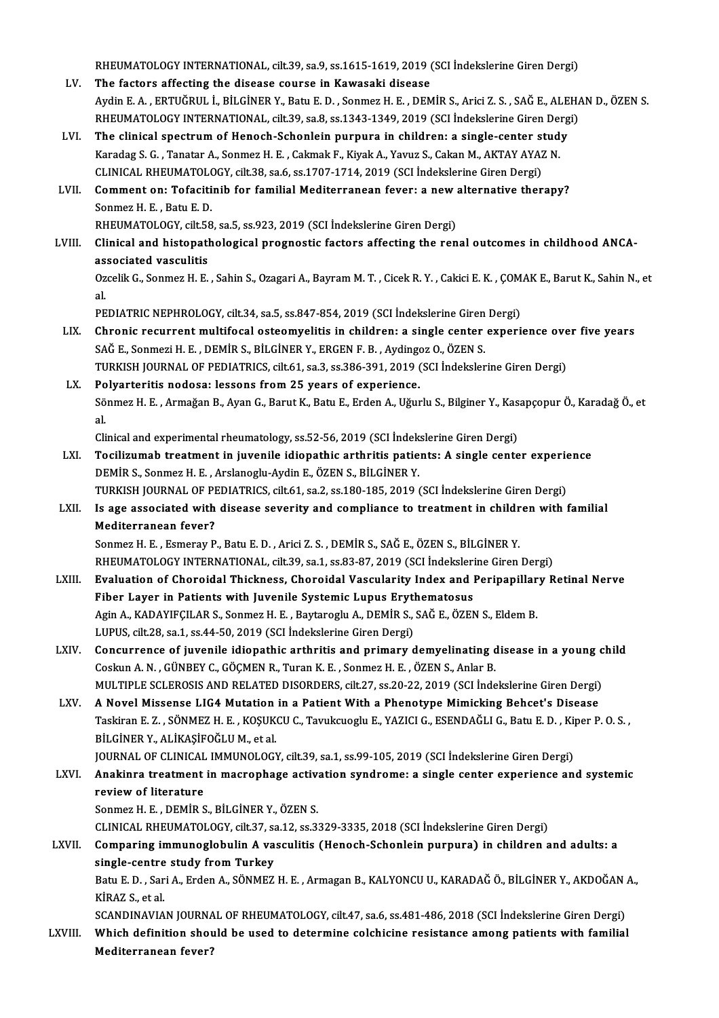RHEUMATOLOGY INTERNATIONAL, cilt.39, sa.9, ss.1615-1619, 2019 (SCI İndekslerine Giren Dergi)<br>The fastare affecting the disease seures in Kawasaki disease

- RHEUMATOLOGY INTERNATIONAL, cilt.39, sa.9, ss.1615-1619, 2019 (<br>LV. The factors affecting the disease course in Kawasaki disease<br>Aydin E.A., EPTUČPULL PRI CINER V. Pety E.D., Sonmer H.E., DEM RHEUMATOLOGY INTERNATIONAL, cilt.39, sa.9, ss.1615-1619, 2019 (SCI İndekslerine Giren Dergi)<br>The factors affecting the disease course in Kawasaki disease<br>Aydin E. A. , ERTUĞRUL İ., BİLGİNER Y., Batu E. D. , Sonmez H. E. , The factors affecting the disease course in Kawasaki disease<br>Aydin E. A. , ERTUĞRUL İ., BİLGİNER Y., Batu E. D. , Sonmez H. E. , DEMİR S., Arici Z. S. , SAĞ E., ALEHA<br>RHEUMATOLOGY INTERNATIONAL, cilt.39, sa.8, ss.1343-1349 Aydin E. A., ERTUĞRUL İ., BİLGİNER Y., Batu E. D., Sonmez H. E., DEMİR S., Arici Z. S., SAĞ E., ALE<br>RHEUMATOLOGY INTERNATIONAL, cilt.39, sa.8, ss.1343-1349, 2019 (SCI İndekslerine Giren Derg<br>LVI. The clinical spectrum of H
- RHEUMATOLOGY INTERNATIONAL, cilt.39, sa.8, ss.1343-1349, 2019 (SCI İndekslerine Giren Dergi)<br>The clinical spectrum of Henoch-Schonlein purpura in children: a single-center study<br>Karadag S. G. , Tanatar A., Sonmez H. E. , C The clinical spectrum of Henoch-Schonlein purpura in children: a single-center study CLINICAL RHEUMATOLOGY, cilt.38, sa.6, ss.1707-1714, 2019 (SCI İndekslerine Giren Dergi)
- LVII. Comment on: Tofacitinib for familial Mediterranean fever: a new alternative therapy?<br>Sonmez H. E., Batu E. D.

RHEUMATOLOGY, cilt.58, sa.5, ss.923, 2019 (SCI İndekslerine Giren Dergi)

Sonmez H. E. , Batu E. D.<br>RHEUMATOLOGY, cilt.58, sa.5, ss.923, 2019 (SCI İndekslerine Giren Dergi)<br>LVIII. Clinical and histopathological prognostic factors affecting the renal outcomes in childhood ANCA-<br>associated yoseyli RHEUMATOLOGY, cilt.58<br>Clinical and histopatl<br>associated vasculitis<br>Orgelik C. Senmer H. F. Clinical and histopathological prognostic factors affecting the renal outcomes in childhood ANCA-<br>associated vasculitis<br>Ozcelik G., Sonmez H. E. , Sahin S., Ozagari A., Bayram M. T. , Cicek R. Y. , Cakici E. K. , ÇOMAK E.,

as<br>0z<br>nr Ozcelik G., Sonmez H. E. , Sahin S., Ozagari A., Bayram M. T. , Cicek R. Y. , Cakici E. K. , ÇOM.<br>al.<br>PEDIATRIC NEPHROLOGY, cilt.34, sa.5, ss.847-854, 2019 (SCI İndekslerine Giren Dergi)<br>Chronic regurment multifosal esteem

- al.<br>PEDIATRIC NEPHROLOGY, cilt.34, sa.5, ss.847-854, 2019 (SCI İndekslerine Giren Dergi)<br>LIX. Chronic recurrent multifocal osteomyelitis in children: a single center experience over five years<br>SAČE Senmeri H.E., DEMİR S. P PEDIATRIC NEPHROLOGY, cilt.34, sa.5, ss.847-854, 2019 (SCI İndekslerine Giren<br>Chronic recurrent multifocal osteomyelitis in children: a single center<br>SAĞ E., Sonmezi H. E. , DEMİR S., BİLGİNER Y., ERGEN F. B. , Aydingoz O. Chronic recurrent multifocal osteomyelitis in children: a single center experience ove<br>SAĞ E., Sonmezi H. E. , DEMİR S., BİLGİNER Y., ERGEN F. B. , Aydingoz O., ÖZEN S.<br>TURKISH JOURNAL OF PEDIATRICS, cilt.61, sa.3, ss.386-SAĞ E., Sonmezi H. E., DEMİR S., BİLGİNER Y., ERGEN F. B., Aydingoz O., ÖZEN S.<br>TURKISH JOURNAL OF PEDIATRICS, cilt.61, sa.3, ss.386-391, 2019 (SCI İndekslerine Giren Dergi)<br>LX. Polyarteritis nodosa: lessons from 25 years
- TURKISH JOURNAL OF PEDIATRICS, cilt.61, sa.3, ss.386-391, 2019 (SCI İndekslerine Giren Dergi)<br><mark>Polyarteritis nodosa: lessons from 25 years of experience.</mark><br>Sönmez H. E. , Armağan B., Ayan G., Barut K., Batu E., Erden A., Uğ Po<br>Sö<br>al.<br>Ci Sönmez H. E. , Armağan B., Ayan G., Barut K., Batu E., Erden A., Uğurlu S., Bilginer Y., Kas<br>al.<br>Clinical and experimental rheumatology, ss.52-56, 2019 (SCI İndekslerine Giren Dergi)<br>Tegilizumah traatmant in iuvenile idion

- al.<br>Clinical and experimental rheumatology, ss.52-56, 2019 (SCI İndekslerine Giren Dergi)<br>LXI. Tocilizumab treatment in juvenile idiopathic arthritis patients: A single center experience<br>DEMİR S. Sonmoz H. F. Arslanosl Clinical and experimental rheumatology, ss.52-56, 2019 (SCI İndek<br>Tocilizumab treatment in juvenile idiopathic arthritis patie<br>DEMİR S., Sonmez H. E. , Arslanoglu-Aydin E., ÖZEN S., BİLGİNER Y.<br>TURKISH JOURNAL OF REDIATRIC Tocilizumab treatment in juvenile idiopathic arthritis patients: A single center experie<br>DEMİR S., Sonmez H. E. , Arslanoglu-Aydin E., ÖZEN S., BİLGİNER Y.<br>TURKISH JOURNAL OF PEDIATRICS, cilt.61, sa.2, ss.180-185, 2019 (SC DEMİR S., Sonmez H. E. , Arslanoglu-Aydin E., ÖZEN S., BİLGİNER Y.<br>TURKISH JOURNAL OF PEDIATRICS, cilt.61, sa.2, ss.180-185, 2019 (SCI İndekslerine Giren Dergi)<br>LXII. Is age associated with disease severity and compliance
- TURKISH JOURNAL OF PEDIATRICS, cilt.61, sa.2, ss.180-185, 2019 (SCI Indekslerine Giren Dergi)<br>Is age associated with disease severity and compliance to treatment in children with<br>Mediterranean fever?<br>Sonmez H. E. , Esmeray Is age associated with disease severity and compliance to treatment in childr<br>Mediterranean fever?<br>Sonmez H. E. , Esmeray P., Batu E. D. , Arici Z. S. , DEMİR S., SAĞ E., ÖZEN S., BİLGİNER Y.<br>RHEUMATOLOGY INTERNATIONAL .ci Mediterranean fever?<br>Sonmez H. E. , Esmeray P., Batu E. D. , Arici Z. S. , DEMİR S., SAĞ E., ÖZEN S., BİLGİNER Y.<br>RHEUMATOLOGY INTERNATIONAL, cilt.39, sa.1, ss.83-87, 2019 (SCI İndekslerine Giren Dergi)<br>Fyalustion of Charo

- LXIII. Evaluation of Choroidal Thickness, Choroidal Vascularity Index and Peripapillary Retinal Nerve<br>Fiber Layer in Patients with Juvenile Systemic Lupus Erythematosus RHEUMATOLOGY INTERNATIONAL, cilt.39, sa.1, ss.83-87, 2019 (SCI İndeksleri<br>Evaluation of Choroidal Thickness, Choroidal Vascularity Index and l<br>Fiber Layer in Patients with Juvenile Systemic Lupus Erythematosus<br>Agin A. KADA Evaluation of Choroidal Thickness, Choroidal Vascularity Index and Peripapillar<br>Fiber Layer in Patients with Juvenile Systemic Lupus Erythematosus<br>Agin A., KADAYIFÇILAR S., Sonmez H. E. , Baytaroglu A., DEMİR S., SAĞ E., Ö Fiber Layer in Patients with Juvenile Systemic Lupus Eryth<br>Agin A., KADAYIFÇILAR S., Sonmez H. E. , Baytaroglu A., DEMİR S.,<br>LUPUS, cilt.28, sa.1, ss.44-50, 2019 (SCI İndekslerine Giren Dergi)<br>Consurrence of iuvenile idion Agin A., KADAYIFÇILAR S., Sonmez H. E., Baytaroglu A., DEMİR S., SAĞ E., ÖZEN S., Eldem B.<br>LUPUS, cilt.28, sa.1, ss.44-50, 2019 (SCI İndekslerine Giren Dergi)<br>LXIV. Concurrence of juvenile idiopathic arthritis and primary
- LUPUS, cilt.28, sa.1, ss.44-50, 2019 (SCI indekslerine Giren Dergi)<br>Concurrence of juvenile idiopathic arthritis and primary demyelinating disease in a young child<br>Coskun A. N. , GÜNBEY C., GÖÇMEN R., Turan K. E. , Sonmez MULTIPLE SCLEROSIS AND RELATED DISORDERS, cilt.27, ss.20-22, 2019 (SCI İndekslerine Giren Dergi)
- LXV. A Novel Missense LIG4 Mutation in a Patient With a Phenotype Mimicking Behcet's Disease MULTIPLE SCLEROSIS AND RELATED DISORDERS, cilt.27, ss.20-22, 2019 (SCI İndekslerine Giren Dergi)<br>A Novel Missense LIG4 Mutation in a Patient With a Phenotype Mimicking Behcet's Disease<br>Taskiran E. Z. , SÖNMEZ H. E. , KOŞUK A Novel Missense LIG4 Mutation<br>Taskiran E. Z. , SÖNMEZ H. E. , KOŞUK<br>BİLGİNER Y., ALİKAŞİFOĞLU M., et al.<br>JOUPNAL OE CLINICAL IMMUNOLOC Taskiran E. Z. , SÖNMEZ H. E. , KOŞUKCU C., Tavukcuoglu E., YAZICI G., ESENDAĞLI G., Batu E. D. , Kij<br>BİLGİNER Y., ALİKAŞİFOĞLU M., et al.<br>JOURNAL OF CLINICAL IMMUNOLOGY, cilt.39, sa.1, ss.99-105, 2019 (SCI İndekslerine Gi

BİLGİNER Y., ALİKAŞİFOĞLU M., et al.<br>JOURNAL OF CLINICAL IMMUNOLOGY, cilt.39, sa.1, ss.99-105, 2019 (SCI İndekslerine Giren Dergi)<br>LXVI. Anakinra treatment in macrophage activation syndrome: a single center experience **JOURNAL OF CLINICAL<br>Anakinra treatment<br>review of literature<br>Sonmer H E . DEMID S** Anakinra treatment in macrophage active<br>review of literature<br>Sonmez H. E. , DEMİR S., BİLGİNER Y., ÖZEN S.<br>CUNICAL RHEUMATOLOCY silt 27, sa 12, sa 2 review of literature<br>Sonmez H. E. , DEMİR S., BİLGİNER Y., ÖZEN S.<br>CLINICAL RHEUMATOLOGY, cilt.37, sa.12, ss.3329-3335, 2018 (SCI İndekslerine Giren Dergi)<br>Comparing immunoglobulin A veseylitis (Hanosh Schonlein nurnura) i

Sonmez H. E. , DEMİR S., BİLGİNER Y., ÖZEN S.<br>CLINICAL RHEUMATOLOGY, cilt.37, sa.12, ss.3329-3335, 2018 (SCI İndekslerine Giren Dergi)<br>LXVII. Comparing immunoglobulin A vasculitis (Henoch-Schonlein purpura) in children and CLINICAL RHEUMATOLOGY, cilt.37, sa<br>Comparing immunoglobulin A va<br>single-centre study from Turkey Comparing immunoglobulin A vasculitis (Henoch-Schonlein purpura) in children and adults: a<br>single-centre study from Turkey<br>Batu E. D. , Sari A., Erden A., SÖNMEZ H. E. , Armagan B., KALYONCU U., KARADAĞ Ö., BİLGİNER Y., AK

si<mark>ngle-centre</mark><br>Batu E. D. , Sar<br>KİRAZ S., et al.<br>SCANDIMAVIA Batu E. D. , Sari A., Erden A., SÖNMEZ H. E. , Armagan B., KALYONCU U., KARADAĞ Ö., BİLGİNER Y., AKDOĞAN .<br>KİRAZ S., et al.<br>SCANDINAVIAN JOURNAL OF RHEUMATOLOGY, cilt.47, sa.6, ss.481-486, 2018 (SCI İndekslerine Giren Derg

KİRAZ S., et al.<br>SCANDINAVIAN JOURNAL OF RHEUMATOLOGY, cilt.47, sa.6, ss.481-486, 2018 (SCI İndekslerine Giren Dergi)<br>LXVIII. Which definition should be used to determine colchicine resistance among patients with famil SCANDINAVIAN JOURNA<br>Which definition shou<br>Mediterranean fever?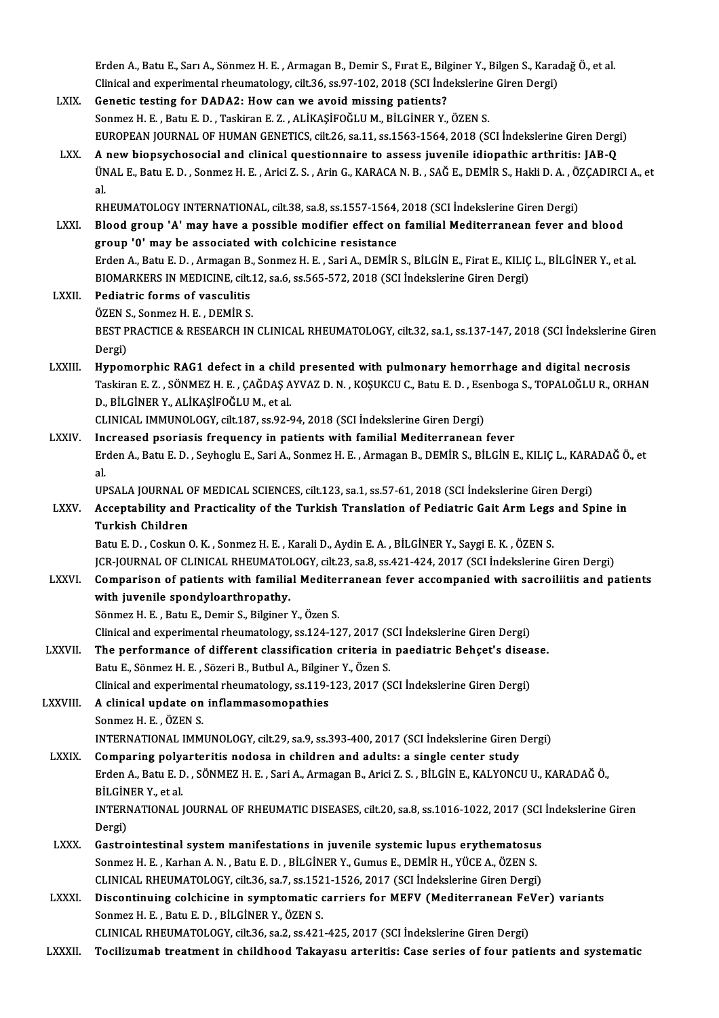Erden A., Batu E., Sarı A., Sönmez H. E. , Armagan B., Demir S., Fırat E., Bilginer Y., Bilgen S., Karadağ Ö., et al.<br>Clinical and avnonimental rheumetalegy, gilt 36, cs 97, 193, 2019 (SCL Indekslerine Ciren Dergi).

## Erden A., Batu E., Sarı A., Sönmez H. E. , Armagan B., Demir S., Fırat E., Bilginer Y., Bilgen S., Karad<br>Clinical and experimental rheumatology, cilt.36, ss.97-102, 2018 (SCI İndekslerine Giren Dergi)<br>Conetis testing for D Erden A., Batu E., Sarı A., Sönmez H. E., Armagan B., Demir S., Fırat E., Bilg<br>Clinical and experimental rheumatology, cilt.36, ss.97-102, 2018 (SCI Ind<br>LXIX. Genetic testing for DADA2: How can we avoid missing patients?<br>S Clinical and experimental rheumatology, cilt.36, ss.97-102, 2018 (SCI İndekslerine Giren Dergi)<br>Genetic testing for DADA2: How can we avoid missing patients?<br>Sonmez H. E. , Batu E. D. , Taskiran E. Z. , ALİKAŞİFOĞLU M., Bİ EUROPEAN JOURNAL OF HUMAN GENETICS, cilt.26, sa.11, ss.1563-1564, 2018 (SCI İndekslerine Giren Dergi) LXX. A new biopsychosocial and clinical questionnaire to assess juvenile idiopathic arthritis: JAB-Q EUROPEAN JOURNAL OF HUMAN GENETICS, cilt.26, sa.11, ss.1563-1564, 2018 (SCI İndekslerine Giren Dergi)<br>A new biopsychosocial and clinical questionnaire to assess juvenile idiopathic arthritis: JAB-Q<br>ÜNAL E., Batu E. D. , So a<br>ÜN<br>al.<br>pr ÜNAL E., Batu E. D. , Sonmez H. E. , Arici Z. S. , Arin G., KARACA N. B. , SAĞ E., DEMİR S., Hakli D. A. , Ö.<br>al.<br>RHEUMATOLOGY INTERNATIONAL, cilt.38, sa.8, ss.1557-1564, 2018 (SCI İndekslerine Giren Dergi)<br>Plaad graun 'A' al.<br>RHEUMATOLOGY INTERNATIONAL, cilt.38, sa.8, ss.1557-1564, 2018 (SCI İndekslerine Giren Dergi)<br>LXXI. Blood group 'A' may have a possible modifier effect on familial Mediterranean fever and blood<br>group 'A' may ha associat RHEUMATOLOGY INTERNATIONAL, cilt.38, sa.8, ss.1557-1564,<br>Blood group 'A' may have a possible modifier effect on<br>group '0' may be associated with colchicine resistance<br>Erden A. Betu E.D., Armagan B. Sonmog H. E. Soni A. DEM Blood group 'A' may have a possible modifier effect on familial Mediterranean fever and blood<br>group '0' may be associated with colchicine resistance<br>Erden A., Batu E. D. , Armagan B., Sonmez H. E. , Sari A., DEMİR S., BİLG group '0' may be associated with colchicine resistance<br>Erden A., Batu E. D. , Armagan B., Sonmez H. E. , Sari A., DEMİR S., BİLGİN E., Firat E., KILIÇ L., BİLGİNER Y., et al.<br>BIOMARKERS IN MEDICINE, cilt.12, sa.6, ss.565-5 Erden A., Batu E. D., Armagan B.<br>BIOMARKERS IN MEDICINE, cilt.<br>LXXII. Pediatric forms of vasculitis BIOMARKERS IN MEDICINE, cilt.1<br>Pediatric forms of vasculitis<br>ÖZEN S., Sonmez H. E. , DEMİR S.<br>PEST PRACTICE & PESEARCU IN BEST PRACTICE & RESEARCH IN CLINICAL RHEUMATOLOGY, cilt.32, sa.1, ss.137-147, 2018 (SCI İndekslerine Giren<br>Dergi) ÖZEN S. Sonmez H. E., DEMİR S. BEST PRACTICE & RESEARCH IN CLINICAL RHEUMATOLOGY, cilt.32, sa.1, ss.137-147, 2018 (SCI Indekslerine C<br>Dergi)<br>LXXIII. Hypomorphic RAG1 defect in a child presented with pulmonary hemorrhage and digital necrosis Dergi)<br>Hypomorphic RAG1 defect in a child presented with pulmonary hemorrhage and digital necrosis<br>Taskiran E. Z. , SÖNMEZ H. E. , ÇAĞDAŞ AYVAZ D. N. , KOŞUKCU C., Batu E. D. , Esenboga S., TOPALOĞLU R., ORHAN<br>D. BU CİNER Hypomorphic RAG1 defect in a child<br>Taskiran E. Z. , SÖNMEZ H. E. , ÇAĞDAŞ A<br>D., BİLGİNER Y., ALİKAŞİFOĞLU M., et al.<br>CLINICAL IMMINOLOCY, silt 197, sa 93,6 Taskiran E. Z. , SÖNMEZ H. E. , ÇAĞDAŞ AYVAZ D. N. , KOŞUKCU C., Batu E. D. , Esenboga S., TOPALOĞLU R., ORHAN<br>D., BİLGİNER Y., ALİKAŞİFOĞLU M., et al.<br>CLINICAL IMMUNOLOGY, cilt.187, ss.92-94, 2018 (SCI İndekslerine Giren LXXIV. Increased psoriasis frequency in patients with familial Mediterranean fever CLINICAL IMMUNOLOGY, cilt.187, ss.92-94, 2018 (SCI İndekslerine Giren Dergi)<br>Increased psoriasis frequency in patients with familial Mediterranean fever<br>Erden A., Batu E. D. , Seyhoglu E., Sari A., Sonmez H. E. , Armagan B In<br>Er<br>al<br>Un Erden A., Batu E. D. , Seyhoglu E., Sari A., Sonmez H. E. , Armagan B., DEMİR S., BİLGİN E., KILIÇ L., KARA<br>al.<br>UPSALA JOURNAL OF MEDICAL SCIENCES, cilt.123, sa.1, ss.57-61, 2018 (SCI İndekslerine Giren Dergi)<br>Assantabilit al.<br>UPSALA JOURNAL OF MEDICAL SCIENCES, cilt.123, sa.1, ss.57-61, 2018 (SCI İndekslerine Giren Dergi)<br>LXXV. Acceptability and Practicality of the Turkish Translation of Pediatric Gait Arm Legs and Spine in<br>Turkish Child UPSALA JOURNAL OF MEDICAL SCIENCES, cilt.123, sa.1, ss.57-61, 2018 (SCI Indekslerine Giren Dergi)<br>Acceptability and Practicality of the Turkish Translation of Pediatric Gait Arm Legs and Sp<br>Turkish Children<br>Batu E. D., Cos Acceptability and Practicality of the Turkish Translation of Pediatric Gait Arm Legs<br>Turkish Children<br>Batu E. D. , Coskun O. K. , Sonmez H. E. , Karali D., Aydin E. A. , BİLGİNER Y., Saygi E. K. , ÖZEN S.<br>ICR JOURNAL OF CL Turkish Children<br>Batu E. D. , Coskun O. K. , Sonmez H. E. , Karali D., Aydin E. A. , BİLGİNER Y., Saygi E. K. , ÖZEN S.<br>JCR-JOURNAL OF CLINICAL RHEUMATOLOGY, cilt.23, sa.8, ss.421-424, 2017 (SCI İndekslerine Giren Dergi)<br>C Batu E. D. , Coskun O. K. , Sonmez H. E. , Karali D., Aydin E. A. , BİLGİNER Y., Saygi E. K. , ÖZEN S.<br>JCR-JOURNAL OF CLINICAL RHEUMATOLOGY, cilt.23, sa.8, ss.421-424, 2017 (SCI İndekslerine Giren Dergi)<br>LXXVI. Comparison JCR-JOURNAL OF CLINICAL RHEUMATOI<br>Comparison of patients with familia<br>with juvenile spondyloarthropathy.<br>Sänmer H. E., Petu E. Damir S. Bilginer Comparison of patients with familial Mediter<br>with juvenile spondyloarthropathy.<br>Sönmez H. E., Batu E., Demir S., Bilginer Y., Özen S.<br>Clinical and experimental rhoumatelegy, ce 134, 13 with juvenile spondyloarthropathy.<br>Sönmez H. E. , Batu E., Demir S., Bilginer Y., Özen S.<br>Clinical and experimental rheumatology, ss.124-127, 2017 (SCI İndekslerine Giren Dergi) Sönmez H. E. , Batu E., Demir S., Bilginer Y., Özen S.<br>Clinical and experimental rheumatology, ss.124-127, 2017 (SCI İndekslerine Giren Dergi)<br>LXXVII. The performance of different classification criteria in paediatric Behç Clinical and experimental rheumatology, ss.124-127, 2017 (S<br>The performance of different classification criteria in<br>Batu E., Sönmez H. E. , Sözeri B., Butbul A., Bilginer Y., Özen S.<br>Clinical and experimental rheumatelegy, The performance of different classification criteria in paediatric Behçet's disea<br>Batu E., Sönmez H. E. , Sözeri B., Butbul A., Bilginer Y., Özen S.<br>Clinical and experimental rheumatology, ss.119-123, 2017 (SCI İndekslerin Batu E., Sönmez H. E. , Sözeri B., Butbul A., Bilginer Y., Özen S.<br>Clinical and experimental rheumatology, ss.119-123, 2017 (SCI İndekslerine Giren Dergi)<br>LXXVIII. A clinical update on inflammasomopathies Sonmez H.E., ÖZEN S. A clinical update on inflammasomopathies<br>Sonmez H. E. , ÖZEN S.<br>INTERNATIONAL IMMUNOLOGY, cilt.29, sa.9, ss.393-400, 2017 (SCI İndekslerine Giren Dergi)<br>Comparing polyarteritis podese in shildren and adults: a single sente Sonmez H. E., ÖZEN S.<br>INTERNATIONAL IMMUNOLOGY, cilt.29, sa.9, ss.393-400, 2017 (SCI Indekslerine Giren I<br>LXXIX. Comparing polyarteritis nodosa in children and adults: a single center study<br>Endep A. Betu E. D., SÖNMEZ H. E

INTERNATIONAL IMMUNOLOGY, cilt.29, sa.9, ss.393-400, 2017 (SCI İndekslerine Giren Dergi)<br>Comparing polyarteritis nodosa in children and adults: a single center study<br>Erden A., Batu E. D. , SÖNMEZ H. E. , Sari A., Armagan B Comparing poly:<br>Erden A., Batu E. D<br>BİLGİNER Y., et al.<br>INTERNATIONAL I Erden A., Batu E. D. , SÖNMEZ H. E. , Sari A., Armagan B., Arici Z. S. , BİLGİN E., KALYONCU U., KARADAĞ Ö.,<br>BİLGİNER Y., et al.<br>INTERNATIONAL JOURNAL OF RHEUMATIC DISEASES, cilt.20, sa.8, ss.1016-1022, 2017 (SCI İndeksler

BİLGİNER Y., et al.<br>INTERNATIONAL JOURNAL OF RHEUMATIC DISEASES, cilt.20, sa.8, ss.1016-1022, 2017 (SCI İndekslerine Giren<br>Dergi) INTERNATIONAL JOURNAL OF RHEUMATIC DISEASES, cilt.20, sa.8, ss.1016-1022, 2017 (SCI<br>Dergi)<br>LXXX. Gastrointestinal system manifestations in juvenile systemic lupus erythematosus<br>Sanmar H. F. Karban A. N., Batu E. D., BU Cin

Dergi)<br>Gastrointestinal system manifestations in juvenile systemic lupus erythematosu:<br>Sonmez H. E. , Karhan A. N. , Batu E. D. , BİLGİNER Y., Gumus E., DEMİR H., YÜCE A., ÖZEN S.<br>CUNICAL RHEUMATOLOCY. silt 26, 23, 28,1521 Gastrointestinal system manifestations in juvenile systemic lupus erythematosus<br>Sonmez H. E. , Karhan A. N. , Batu E. D. , BİLGİNER Y., Gumus E., DEMİR H., YÜCE A., ÖZEN S.<br>CLINICAL RHEUMATOLOGY, cilt.36, sa.7, ss.1521-152 Sonmez H. E. , Karhan A. N. , Batu E. D. , BILGINER Y., Gumus E., DEMIR H., YÜCE A., ÖZEN S.<br>CLINICAL RHEUMATOLOGY, cilt.36, sa.7, ss.1521-1526, 2017 (SCI Indekslerine Giren Dergi)<br>LXXXI. Discontinuing colchicine in sympto

CLINICAL RHEUMATOLOGY, cilt.36, sa.7, ss.152<br>Discontinuing colchicine in symptomatic of<br>Sonmez H. E. , Batu E. D. , BİLGİNER Y., ÖZEN S. Discontinuing colchicine in symptomatic carriers for MEFV (Mediterranean Fe'<br>Sonmez H. E. , Batu E. D. , BİLGİNER Y., ÖZEN S.<br>CLINICAL RHEUMATOLOGY, cilt.36, sa.2, ss.421-425, 2017 (SCI İndekslerine Giren Dergi)<br>Tesilinuma Sonmez H. E. , Batu E. D. , BİLGİNER Y., ÖZEN S.<br>CLINICAL RHEUMATOLOGY, cilt.36, sa.2, ss.421-425, 2017 (SCI İndekslerine Giren Dergi)<br>LXXXII. Tocilizumab treatment in childhood Takayasu arteritis: Case series of four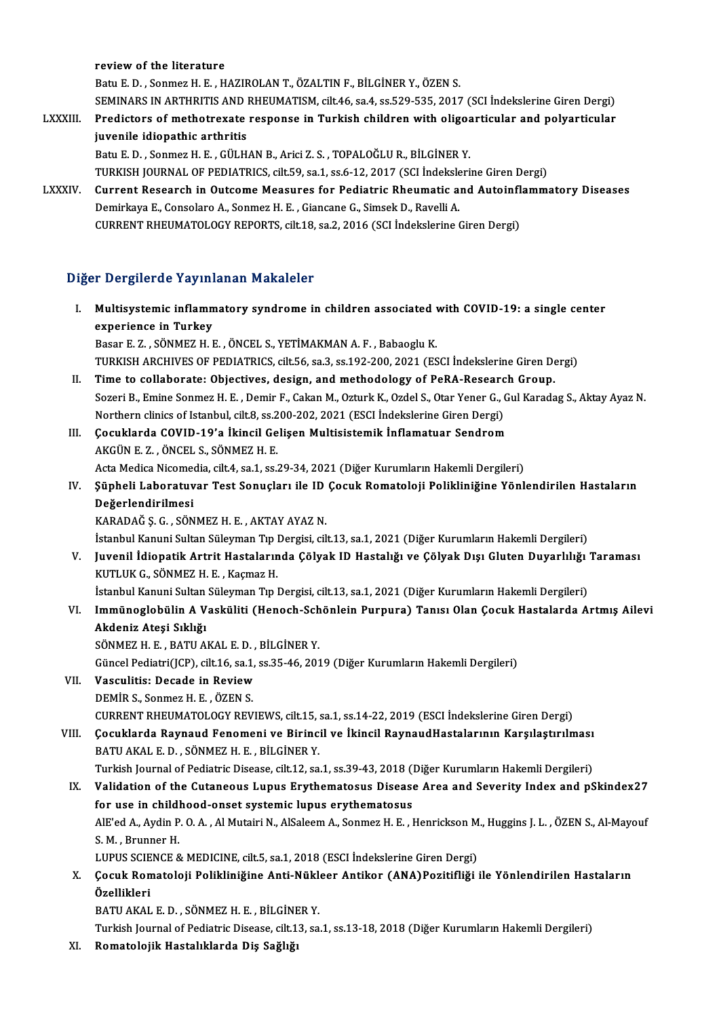reviewof the literature

Batu E.D., Sonmez H.E., HAZIROLAN T., ÖZALTIN F., BİLGİNER Y., ÖZEN S. review of the literature<br>Batu E. D. , Sonmez H. E. , HAZIROLAN T., ÖZALTIN F., BİLGİNER Y., ÖZEN S.<br>SEMINARS IN ARTHRITIS AND RHEUMATISM, cilt.46, sa.4, ss.529-535, 2017 (SCI İndekslerine Giren Dergi)<br>Predisters of methetr Batu E. D. , Sonmez H. E. , HAZIROLAN T., ÖZALTIN F., BİLGİNER Y., ÖZEN S.<br>SEMINARS IN ARTHRITIS AND RHEUMATISM, cilt.46, sa.4, ss.529-535, 2017 (SCI İndekslerine Giren Dergi)<br>LXXXIII. Predictors of methotrexate response i

- SEMINARS IN ARTHRITIS AND I<br>Predictors of methotrexate<br>juvenile idiopathic arthritis<br>Patu E.D. Sonmez H.E. CÜLH Predictors of methotrexate response in Turkish children with oligoz<br>juvenile idiopathic arthritis<br>Batu E. D., Sonmez H. E., GÜLHAN B., Arici Z. S., TOPALOĞLU R., BİLGİNER Y.<br>TURKISH JOURNAL OF REDIATRICS, silt 59, sa.1, sa juvenile idiopathic arthritis<br>Batu E. D. , Sonmez H. E. , GÜLHAN B., Arici Z. S. , TOPALOĞLU R., BİLGİNER Y.<br>TURKISH JOURNAL OF PEDIATRICS, cilt.59, sa.1, ss.6-12, 2017 (SCI İndekslerine Giren Dergi)<br>Current Besearsh in Qu
- Batu E. D. , Sonmez H. E. , GÜLHAN B., Arici Z. S. , TOPALOĞLU R., BİLGİNER Y.<br>TURKISH JOURNAL OF PEDIATRICS, cilt.59, sa.1, ss.6-12, 2017 (SCI İndekslerine Giren Dergi)<br>LXXXIV. Current Research in Outcome Measures for TURKISH JOURNAL OF PEDIATRICS, cilt.59, sa.1, ss.6-12, 2017 (SCI İndeksle<br>Current Research in Outcome Measures for Pediatric Rheumatic a.<br>Demirkaya E., Consolaro A., Sonmez H. E. , Giancane G., Simsek D., Ravelli A.<br>CURREN

CURRENT RHEUMATOLOGY REPORTS, cilt.18, sa.2, 2016 (SCI İndekslerine Giren Dergi)

## Diğer Dergilerde Yayınlanan Makaleler

- Iger Dergilerde Yayınlanan Makaleler<br>I. Multisystemic inflammatory syndrome in children associated with COVID-19: a single center<br>All progriense in Turkey experience in Turkey<br>Experience in Turkey<br>Experience in Turkey experience in Turkey<br>Basar E.Z., SÖNMEZ H. E., ÖNCEL S., YETİMAKMAN A. F., Babaoglu K. experience in Turkey<br>Basar E. Z. , SÖNMEZ H. E. , ÖNCEL S., YETİMAKMAN A. F. , Babaoglu K.<br>TURKISH ARCHIVES OF PEDIATRICS, cilt.56, sa.3, ss.192-200, 2021 (ESCI İndekslerine Giren Dergi)<br>Time te çellebenste: Objectives, de Basar E. Z., SÖNMEZ H. E., ÖNCEL S., YETİMAKMAN A. F., Babaoglu K.<br>TURKISH ARCHIVES OF PEDIATRICS, cilt.56, sa.3, ss.192-200, 2021 (ESCI İndekslerine Giren De<br>II. Time to collaborate: Objectives, design, and methodology of TURKISH ARCHIVES OF PEDIATRICS, cilt.56, sa.3, ss.192-200, 2021 (ESCI İndekslerine Giren Dergi)<br>Time to collaborate: Objectives, design, and methodology of PeRA-Research Group.<br>Sozeri B., Emine Sonmez H. E. , Demir F., Cak Time to collaborate: Objectives, design, and methodology of PeRA-Researc<br>Sozeri B., Emine Sonmez H. E. , Demir F., Cakan M., Ozturk K., Ozdel S., Otar Yener G., (<br>Northern clinics of Istanbul, cilt.8, ss.200-202, 2021 (ESC
- Northern clinics of Istanbul, cilt.8, ss.200-202, 2021 (ESCI Indekslerine Giren Dergi)
- III. Çocuklarda COVID-19'a İkincil Gelişen Multisistemik İnflamatuar Sendrom<br>AKGÜN E. Z., ÖNCEL S., SÖNMEZ H. E. Çocuklarda COVID-19'a İkincil Gelişen Multisistemik İnflamatuar Sendrom<br>AKGÜN E. Z. , ÖNCEL S., SÖNMEZ H. E.<br>Acta Medica Nicomedia, cilt.4, sa.1, ss.29-34, 2021 (Diğer Kurumların Hakemli Dergileri)<br>Sünheli Laberatuyer Test
- IV. Şüpheli Laboratuvar Test Sonuçları ile ID Çocuk Romatoloji Polikliniğine Yönlendirilen Hastaların Acta Medica Nicome<br>Süpheli Laboratuv<br>Değerlendirilmesi<br>KARADAČ S.C. SÖN
	- KARADAĞŞ.G., SÖNMEZH.E., AKTAYAYAZN.

İstanbul Kanuni Sultan Süleyman Tıp Dergisi, cilt.13, sa.1, 2021 (Diğer Kurumların Hakemli Dergileri)

KARADAĞ Ş. G. , SÖNMEZ H. E. , AKTAY AYAZ N.<br>İstanbul Kanuni Sultan Süleyman Tıp Dergisi, cilt.13, sa.1, 2021 (Diğer Kurumların Hakemli Dergileri)<br>V. Juvenil İdiopatik Artrit Hastalarında Çölyak ID Hastalığı ve Çölyak D İstanbul Kanuni Sultan Süleyman Tıp l<br>Juvenil İdiopatik Artrit Hastaların<br>KUTLUK G., SÖNMEZ H. E. , Kaçmaz H.<br>İstanbul Kanuni Sultan Süleyman Tın l Juvenil İdiopatik Artrit Hastalarında Çölyak ID Hastalığı ve Çölyak Dışı Gluten Duyarlılığı<br>KUTLUK G., SÖNMEZ H. E. , Kaçmaz H.<br>İstanbul Kanuni Sultan Süleyman Tıp Dergisi, cilt.13, sa.1, 2021 (Diğer Kurumların Hakemli Der

İstanbul Kanuni Sultan Süleyman Tıp Dergisi, cilt.13, sa.1, 2021 (Diğer Kurumların Hakemli Dergileri)

KUTLUK G., SÖNMEZ H. E. , Kaçmaz H.<br>İstanbul Kanuni Sultan Süleyman Tıp Dergisi, cilt.13, sa.1, 2021 (Diğer Kurumların Hakemli Dergileri)<br>VI. Immünoglobülin A Vasküliti (Henoch-Schönlein Purpura) Tanısı Olan Çocuk Hast Akdeniz Ateşi Sıklığı<br>SÖNMEZ H. E. , BATU AKAL E. D. , BİLGİNER Y.<br>Güncel Pediatri(JCP), cilt.16, sa.1, ss.35-46, 2019 (Diğer Kurumların Hakemli Dergileri)<br>Vesayliticı: Desade in Beview

SÖNMEZH.E., BATU AKAL E.D., BİLGİNER Y.

- VII. Vasculitis: Decade in Review<br>DEMIR S. Sonmez H. E. . ÖZEN S. Güncel Pediatri(JCP), cilt.16, sa.1,<br>Vasculitis: Decade in Review<br>DEMİR S., Sonmez H. E. , ÖZEN S.<br>CUPPENT PHEUMATOLOCY PEV CURRENT RHEUMATOLOGY REVIEWS, cilt.15, sa.1, ss.14-22, 2019 (ESCI İndekslerine Giren Dergi) DEMİR S., Sonmez H. E. , ÖZEN S.<br>CURRENT RHEUMATOLOGY REVIEWS, cilt.15, sa.1, ss.14-22, 2019 (ESCI İndekslerine Giren Dergi)<br>VIII. Çocuklarda Raynaud Fenomeni ve Birincil ve İkincil RaynaudHastalarının Karşılaştırılmas
- CURRENT RHEUMATOLOGY REVIEWS, cilt.15, :<br>Çocuklarda Raynaud Fenomeni ve Birinci<br>BATU AKAL E. D. , SÖNMEZ H. E. , BİLGİNER Y.<br>Turkish Journal of Podiatris Dissass, silt.12, sə Çocuklarda Raynaud Fenomeni ve Birincil ve İkincil RaynaudHastalarının Karşılaştırılması<br>BATU AKAL E. D. , SÖNMEZ H. E. , BİLGİNER Y.<br>Turkish Journal of Pediatric Disease, cilt.12, sa.1, ss.39-43, 2018 (Diğer Kurumların Ha Turkish Journal of Pediatric Disease, cilt.12, sa.1, ss.39-43, 2018 (Diğer Kurumların Hakemli Dergileri)
- BATU AKAL E. D. , SÖNMEZ H. E. , BİLGİNER Y.<br>Turkish Journal of Pediatric Disease, cilt.12, sa.1, ss.39-43, 2018 (Diğer Kurumların Hakemli Dergileri)<br>IX. Validation of the Cutaneous Lupus Erythematosus Disease Area and Sev Validation of the Cutaneous Lupus Erythematosus Disease Area and Severity Index and pSkindex27<br>for use in childhood-onset systemic lupus erythematosus<br>AlE'ed A., Aydin P. O. A. , Al Mutairi N., AlSaleem A., Sonmez H. E. , S. M. , Brunner H.<br>LUPUS SCIENCE & MEDICINE, cilt.5, sa.1, 2018 (ESCI İndekslerine Giren Dergi) AlE'ed A., Aydin P. O. A. , Al Mutairi N., AlSaleem A., Sonmez H. E. , Henrickson M<br>S. M. , Brunner H.<br>LUPUS SCIENCE & MEDICINE, cilt.5, sa.1, 2018 (ESCI İndekslerine Giren Dergi)<br>Cosuk Bomatoloji Bolikliniğine Anti Nükleo

S. M. , Brunner H.<br>LUPUS SCIENCE & MEDICINE, cilt.5, sa.1, 2018 (ESCI İndekslerine Giren Dergi)<br>X. Çocuk Romatoloji Polikliniğine Anti-Nükleer Antikor (ANA)Pozitifliği ile Yönlendirilen Hastaların<br>Özellikleri LUPUS SCIE<br>Çocuk Ron<br>Özellikleri<br>PATU AKAL Çocuk Romatoloji Polikliniğine Anti-Nükle<br>Özellikleri<br>BATU AKAL E.D., SÖNMEZ H.E., BİLGİNER Y.<br>Turkish Journal of Podistris Dissass, silt 12, sə **Özellikleri**<br>BATU AKAL E. D. , SÖNMEZ H. E. , BİLGİNER Y.<br>Turkish Journal of Pediatric Disease, cilt.13, sa.1, ss.13-18, 2018 (Diğer Kurumların Hakemli Dergileri)

XI. Romatolojik Hastalıklarda Diş Sağlığı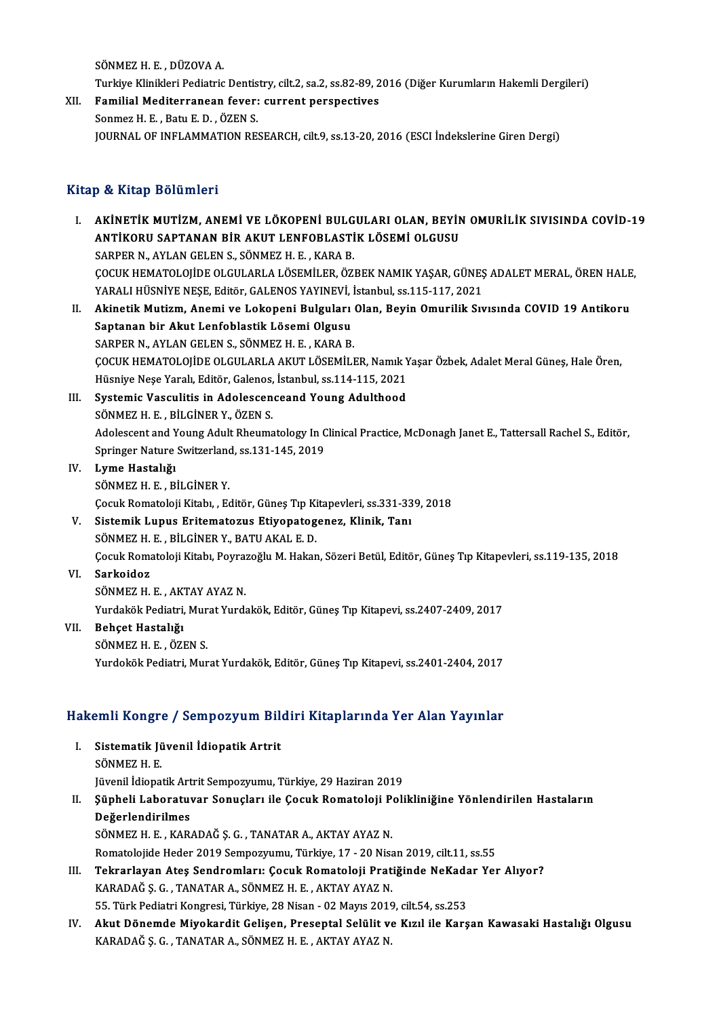SÖNMEZH.E. DÜZOVAA.

SÖNMEZ H. E. , DÜZOVA A.<br>Turkiye Klinikleri Pediatric Dentistry, cilt.2, sa.2, ss.82-89, 2016 (Diğer Kurumların Hakemli Dergileri)<br>Femilial Mediterranean favoru surrant perspectives

SÖNMEZ H. E. , DÜZOVA A.<br>Turkiye Klinikleri Pediatric Dentistry, cilt.2, sa.2, ss.82-89, 2<br>XII. Familial Mediterranean fever: current perspectives<br>Sonmaz H. F. Botu E. D. ÖZEN S. Turkiye Klinikleri Pediatric Dentis<br>Familial Mediterranean fever:<br>Sonmez H. E. , Batu E. D. , ÖZEN S.<br>JOUPMAL OF INELAMMATION PE XII. Familial Mediterranean fever: current perspectives<br>Sonmez H. E. , Batu E. D. , ÖZEN S.<br>JOURNAL OF INFLAMMATION RESEARCH, cilt.9, ss.13-20, 2016 (ESCI İndekslerine Giren Dergi)

### Kitap & Kitap Bölümleri

Itap & Kitap Bölümleri<br>I. AKİNETİK MUTİZM, ANEMİ VE LÖKOPENİ BULGULARI OLAN, BEYİN OMURİLİK SIVISINDA COVİD-19<br>ANTİKOPU SAPTANAN PİP AKUT LENEOPLASTİK LÖSEMİ OLGUSU P & INGP BUNAMINIT<br>AKİNETİK MUTİZM, ANEMİ VE LÖKOPENİ BULGULARI OLAN, BEYİN<br>ANTİKORU SAPTANAN BİR AKUT LENFOBLASTİK LÖSEMİ OLGUSU<br>SARRER N. AYLAN CELEN S. SÖNMEZ H. F. KARA R ANTİKORU SAPTANAN BİR AKUT LENFOBLASTİK LÖSEMİ OLGUSU<br>SARPER N., AYLAN GELEN S., SÖNMEZ H. E. , KARA B. ANTİKORU SAPTANAN BİR AKUT LENFOBLASTİK LÖSEMİ OLGUSU<br>SARPER N., AYLAN GELEN S., SÖNMEZ H. E. , KARA B.<br>ÇOCUK HEMATOLOJİDE OLGULARLA LÖSEMİLER, ÖZBEK NAMIK YAŞAR, GÜNEŞ ADALET MERAL, ÖREN HALE,<br>YARALI HÜSNİVE NESE, Editör, SARPER N., AYLAN GELEN S., SÖNMEZ H. E. , KARA B.<br>ÇOCUK HEMATOLOJİDE OLGULARLA LÖSEMİLER, ÖZBEK NAMIK YAŞAR, GÜNEŞ<br>YARALI HÜSNİYE NEŞE, Editör, GALENOS YAYINEVİ, İstanbul, ss.115-117, 2021<br>Akinetik Mutium, Anemi ve Lekenen II. Akinetik Mutizm, Anemi ve Lokopeni Bulguları Olan, Beyin Omurilik Sıvısında COVID 19 Antikoru<br>Saptanan bir Akut Lenfoblastik Lösemi Olgusu YARALI HÜSNİYE NEŞE, Editör, GALENOS YAYINEVİ, İstanbul, ss 115-117, 2021 SARPER N., AYLAN GELEN S., SÖNMEZ H. E., KARA B. Saptanan bir Akut Lenfoblastik Lösemi Olgusu<br>SARPER N., AYLAN GELEN S., SÖNMEZ H. E. , KARA B.<br>ÇOCUK HEMATOLOJİDE OLGULARLA AKUT LÖSEMİLER, Namık Yaşar Özbek, Adalet Meral Güneş, Hale Ören,<br>Hügnive Nese Yaralı Editön Colon SARPER N., AYLAN GELEN S., SÖNMEZ H. E. , KARA B.<br>ÇOCUK HEMATOLOJİDE OLGULARLA AKUT LÖSEMİLER, Namık Y<br>Hüsniye Neşe Yaralı, Editör, Galenos, İstanbul, ss.114-115, 2021<br>Systamia Vasaylitis in Adelessenseend Young Adultheed COCUK HEMATOLOJIDE OLGULARLA AKUT LÖSEMILER, Namik Y<br>Hüsniye Neşe Yaralı, Editör, Galenos, İstanbul, ss.114-115, 2021<br>III. Systemic Vasculitis in Adolescenceand Young Adulthood<br>SÖNMEZ H. E., PİLCİNER Y. ÖZEN S Hüsniye Neşe Yaralı, Editör, Galenos, İstanbul, ss.114-115, 2021<br>III. Systemic Vasculitis in Adolescenceand Young Adulthood<br>SÖNMEZ H. E., BİLGİNER Y., ÖZEN S. Systemic Vasculitis in Adolescenceand Young Adulthood<br>SÖNMEZ H. E. , BİLGİNER Y., ÖZEN S.<br>Adolescent and Young Adult Rheumatology In Clinical Practice, McDonagh Janet E., Tattersall Rachel S., Editör, SÖNMEZ H. E. , BİLGİNER Y., ÖZEN S.<br>Adolescent and Young Adult Rheumatology In C<br>Springer Nature Switzerland, ss.131-145, 2019<br>Lyme Hastalığı IV. Lyme Hastalığı Springer Nature Switzerland, ss.131-145, 2019 Lyme Hastalığı<br>SÖNMEZ H. E. , BİLGİNER Y.<br>Çocuk Romatoloji Kitabı, , Editör, Güneş Tıp Kitapevleri, ss.331-339, 2018<br>Sistemik Lunus Eritamatorus Etiyonatogenen, Klinik, Tenı V. Sistemik Lupus Eritematozus Etiyopatogenez, Klinik, Tanı Çocuk Romatoloji Kitabı, , Editör, Güneş Tıp Ki<br>Sistemik Lupus Eritematozus Etiyopatog<br>SÖNMEZ H. E. , BİLGİNER Y., BATU AKAL E. D.<br>Cesuk Bematoloji Kitabı, Beyrareğlu M. Hakar Sistemik Lupus Eritematozus Etiyopatogenez, Klinik, Tanı<br>SÖNMEZ H. E. , BİLGİNER Y., BATU AKAL E. D.<br>Çocuk Romatoloji Kitabı, Poyrazoğlu M. Hakan, Sözeri Betül, Editör, Güneş Tıp Kitapevleri, ss.119-135, 2018<br>Sarkaidar VI. Sarkoidoz Çocuk Romatoloji Kitabı, Poyra:<br><mark>Sarkoidoz</mark><br>SÖNMEZ H. E. , AKTAY AYAZ N.<br><sup>Yundokök Bodistri, Murat Yund</sup> Sarkoidoz<br>SÖNMEZ H. E. , AKTAY AYAZ N.<br>Yurdakök Pediatri, Murat Yurdakök, Editör, Güneş Tıp Kitapevi, ss.2407-2409, 2017<br>Beheet Hastalığı VII. Behçet Hastalığı<br>SÖNMEZ H. E. ÖZEN S. Yurdakök Pediatri, Mur<br><mark>Behçet Hastalığı</mark><br>SÖNMEZ H. E. , ÖZEN S.<br><sup>Yundokök Pediatri, Mur</sup> Yurdokök Pediatri, Murat Yurdakök, Editör, Güneş Tıp Kitapevi, ss.2401-2404, 2017 rurdokok Pediatri, Murat Furdakok, Editor, Guneş Tıp Kitapevi, ss.2401-2404, 2017<br>Hakemli Kongre / Sempozyum Bildiri Kitaplarında Yer Alan Yayınlar

akemli Kongre / Sempozyum Bil<mark>.</mark><br>I. Sistematik Jüvenil İdiopatik Artrit<br>SÖNMEZ U E I. Sistematik Jüvenil İdiopatik Artrit<br>SÖNMEZH.E. Jüvenil İdiopatik Artrit Sempozyumu, Türkiye, 29 Haziran 2019 SÖNMEZ H. E.<br>Jüvenil İdiopatik Artrit Sempozyumu, Türkiye, 29 Haziran 2019<br>II. Şüpheli Laboratuvar Sonuçları ile Çocuk Romatoloji Polikliniğine Yönlendirilen Hastaların<br>Değerlendirilmes Jüvenil İdiopatik Art<br>Şüpheli Laboratuv<br>Değerlendirilmes<br>SÖNME7 H E - KAP Şüpheli Laboratuvar Sonuçları ile Çocuk Romatoloji P<br>Değerlendirilmes<br>SÖNMEZ H. E. , KARADAĞ Ş. G. , TANATAR A., AKTAY AYAZ N.<br>Bomatolojide Hoder 2010 Somnownumu, Türkiye 17, -20 Niss

De<mark>ğerlendirilmes</mark><br>SÖNMEZ H. E. , KARADAĞ Ş. G. , TANATAR A., AKTAY AYAZ N.<br>Romatolojide Heder 2019 Sempozyumu, Türkiye, 17 - 20 Nisan 2019, cilt.11, ss.55<br>Teknarlavan, Atas Sandramlaru, Gasuk Bamatalaji, Bratižinda NaKada

- SÖNMEZ H. E. , KARADAĞ Ş. G. , TANATAR A., AKTAY AYAZ N.<br>Romatolojide Heder 2019 Sempozyumu, Türkiye, 17 20 Nisan 2019, cilt.11, ss.55<br>III. Tekrarlayan Ateş Sendromları: Çocuk Romatoloji Pratiğinde NeKadar Yer Alıyor Romatolojide Heder 2019 Sempozyumu, Türkiye, 17 - 20 Nisa<br>Tekrarlayan Ateş Sendromları: Çocuk Romatoloji Prat<br>KARADAĞ Ş. G. , TANATAR A., SÖNMEZ H. E. , AKTAY AYAZ N.<br>EE. Türk Pediatri Kongresi, Türkiye, 29 Nisan , 92 Mayı Tekrarlayan Ateş Sendromları: Çocuk Romatoloji Pratiğinde NeKada<br>KARADAĞ Ş. G. , TANATAR A., SÖNMEZ H. E. , AKTAY AYAZ N.<br>55. Türk Pediatri Kongresi, Türkiye, 28 Nisan - 02 Mayıs 2019, cilt.54, ss.253<br>Akut Dönemde Mivelsar
- KARADAĞ Ş. G. , TANATAR A., SÖNMEZ H. E. , AKTAY AYAZ N.<br>55. Türk Pediatri Kongresi, Türkiye, 28 Nisan 02 Mayıs 2019, cilt.54, ss.253<br>IV. Akut Dönemde Miyokardit Gelişen, Preseptal Selülit ve Kızıl ile Karşan Kawasak 55. Türk Pediatri Kongresi, Türkiye, 28 Nisan - 02 Mayıs 2019<br><mark>Akut Dönemde Miyokardit Gelişen, Preseptal Selülit v</mark><br>KARADAĞ Ş. G. , TANATAR A., SÖNMEZ H. E. , AKTAY AYAZ N.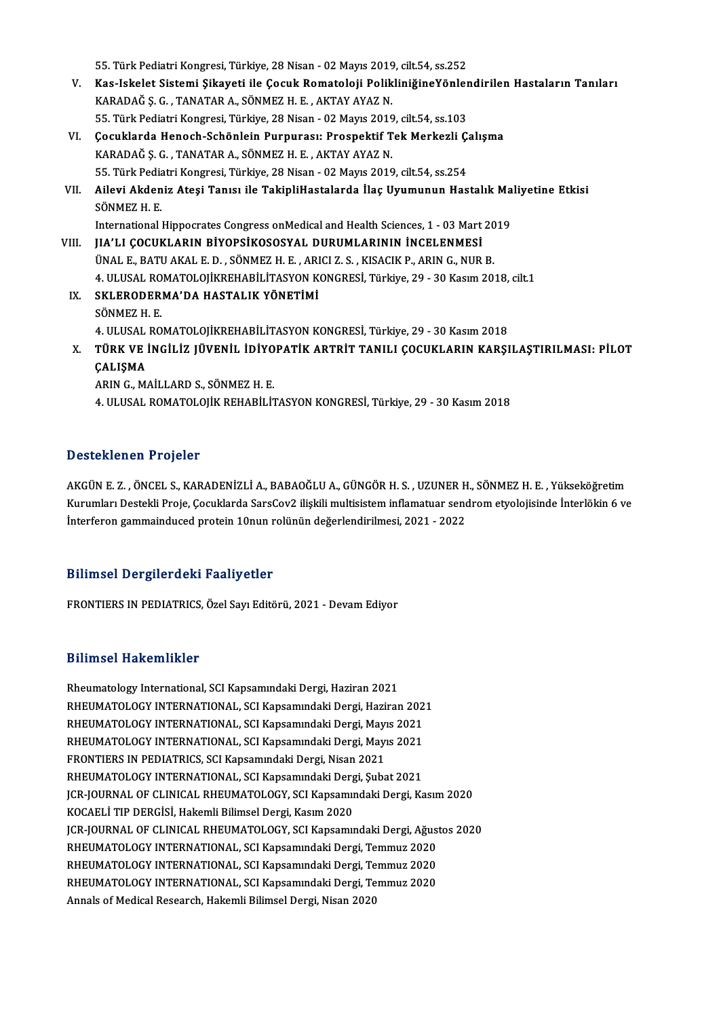55. Türk Pediatri Kongresi, Türkiye, 28 Nisan - 02 Mayıs 2019, cilt.54, ss.252

- 55. Türk Pediatri Kongresi, Türkiye, 28 Nisan 02 Mayıs 2019, cilt.54, ss.252<br>V. Kas-Iskelet Sistemi Şikayeti ile Çocuk Romatoloji PolikliniğineYönlendirilen Hastaların Tanıları<br>KARADAĞ S. G. "TANATAR A. SÖNMEZ H. E. 55. Türk Pediatri Kongresi, Türkiye, 28 Nisan - 02 Mayıs 2019<br>Kas-Iskelet Sistemi Şikayeti ile Çocuk Romatoloji Polik<br>KARADAĞ Ş. G. , TANATAR A., SÖNMEZ H. E. , AKTAY AYAZ N.<br>EE. Türk Pediatri Kongresi, Türkiye, 28 Nisan -Kas-Iskelet Sistemi Şikayeti ile Çocuk Romatoloji PolikliniğineYönler<br>KARADAĞ Ş. G. , TANATAR A., SÖNMEZ H. E. , AKTAY AYAZ N.<br>55. Türk Pediatri Kongresi, Türkiye, 28 Nisan - 02 Mayıs 2019, cilt.54, ss.103<br>Cosuklarda Hanas KARADAĞ Ş. G. , TANATAR A., SÖNMEZ H. E. , AKTAY AYAZ N.<br>55. Türk Pediatri Kongresi, Türkiye, 28 Nisan - 02 Mayıs 2019, cilt.54, ss.103<br>VI. Çocuklarda Henoch-Schönlein Purpurası: Prospektif Tek Merkezli Çalışma<br>KARADAĞ
- 55. Türk Pediatri Kongresi, Türkiye, 28 Nisan 02 Mayıs 2019, cilt.54, ss.103<br>Çocuklarda Henoch-Schönlein Purpurası: Prospektif Tek Merkezli Ç<br>KARADAĞ Ş. G. , TANATAR A., SÖNMEZ H. E. , AKTAY AYAZ N. Gocuklarda Henoch-Schönlein Purpurası: Prospektif Tek Merkezli Ç.<br>KARADAĞ Ş. G. , TANATAR A., SÖNMEZ H. E. , AKTAY AYAZ N.<br>55. Türk Pediatri Kongresi, Türkiye, 28 Nisan - 02 Mayıs 2019, cilt.54, ss.254<br>Ailovi Akdoniz Atosi 55. Türk Pediatri Kongresi, Türkiye, 28 Nisan - 02 Mayıs 2019, cilt.54, ss.254
- VII. Ailevi Akdeniz Ateşi Tanısı ile TakipliHastalarda İlaç Uyumunun Hastalık Maliyetine Etkisi<br>SÖNMEZ H. E. Ailevi Akdeniz Ateşi Tanısı ile TakipliHastalarda İlaç Uyumunun Hastalık Ma<br>SÖNMEZ H. E.<br>International Hippocrates Congress onMedical and Health Sciences, 1 - 03 Mart 2019<br>UA'U COCUKLARIN RİVORSİKOSOSYAL DURUMLARININ İNCEL

- VIII. JIA'LI ÇOCUKLARIN BİYOPSİKOSOSYAL DURUMLARININ İNCELENMESİ<br>ÜNAL E. BATU AKAL E. D. , SÖNMEZ H. E. , ARICI Z. S. , KISACIK P., ARIN G., NUR B. International Hippocrates Congress onMedical and Health Sciences, 1 - 03 Mart 20<br>**JIA'LI ÇOCUKLARIN BİYOPSİKOSOSYAL DURUMLARININ İNCELENMESİ**<br>ÜNAL E., BATU AKAL E. D. , SÖNMEZ H. E. , ARICI Z. S. , KISACIK P., ARIN G., NUR JIA'LI ÇOCUKLARIN BİYOPSİKOSOSYAL DURUMLARININ İNCELENMESİ<br>ÜNAL E., BATU AKAL E. D. , SÖNMEZ H. E. , ARICI Z. S. , KISACIK P., ARIN G., NUR B.<br>4. ULUSAL ROMATOLOJİKREHABİLİTASYON KONGRESİ, Türkiye, 29 - 30 Kasım 2018, cilt
	- IX. SKLERODERMA'DA HASTALIK YÖNETİMİ<br>SÖNMEZ H. E. 4. ULUSAL RO<br>SKLERODER.<br>SÖNMEZ H. E.<br>4. ULUSAL RO SKLERODERMA'DA HASTALIK YÖNETİMİ<br>SÖNMEZ H. E.<br>4. ULUSAL ROMATOLOJİKREHABİLİTASYON KONGRESİ, Türkiye, 29 - 30 Kasım 2018<br>TÜRK VE İNCİLİZ JÜVENLI, İDİYORATİK ARTRİT TANILI COÇUKLARIN KARSI SÖNMEZ H. E.<br>4. ULUSAL ROMATOLOJİKREHABİLİTASYON KONGRESİ, Türkiye, 29 - 30 Kasım 2018<br>X. TÜRK VE İNGİLİZ JÜVENİL İDİYOPATİK ARTRİT TANILI ÇOCUKLARIN KARŞILAŞTIRILMASI: PİLOT<br>CALISMA
	- 4. ULUSAL<br>TÜRK VE<br>ÇALIŞMA<br>ARIN G. M TÜRK VE İNGİLİZ JÜVENİL İDİYO<br>ÇALIŞMA<br>ARIN G., MAİLLARD S., SÖNMEZ H. E.<br>4. III USAL POMATOLOUZ PEHAPILİ'I ÇALIŞMA<br>ARIN G., MAİLLARD S., SÖNMEZ H. E.<br>4. ULUSAL ROMATOLOJİK REHABİLİTASYON KONGRESİ, Türkiye, 29 - 30 Kasım 2018

#### Desteklenen Projeler

AKGÜNE.Z. ,ÖNCEL S.,KARADENİZLİA.,BABAOĞLUA.,GÜNGÖRH.S. ,UZUNERH.,SÖNMEZH.E. ,Yükseköğretim B OSCENCHON I I TOJELEI<br>AKGÜN E. Z. , ÖNCEL S., KARADENİZLİ A., BABAOĞLU A., GÜNGÖR H. S. , UZUNER H., SÖNMEZ H. E. , Yükseköğretim<br>Kurumları Destekli Proje, Çocuklarda SarsCov2 ilişkili multisistem inflamatuar sendrom ety AKGÜN E. Z. , ÖNCEL S., KARADENİZLİ A., BABAOĞLU A., GÜNGÖR H. S. , UZUNER H<br>Kurumları Destekli Proje, Çocuklarda SarsCov2 ilişkili multisistem inflamatuar send<br>İnterferon gammainduced protein 10nun rolünün değerlendirilme Interferon gammainduced protein 10nun rolünün değerlendirilmesi, 2021 - 2022<br>Bilimsel Dergilerdeki Faaliyetler

FRONTIERS IN PEDIATRICS, Özel Sayı Editörü, 2021 - Devam Ediyor

#### Bilimsel Hakemlikler

Rheumatology International, SCI Kapsamındaki Dergi, Haziran 2021 BAANDUA AMANDANANDA<br>Rheumatology International, SCI Kapsamındaki Dergi, Haziran 2021<br>RHEUMATOLOGY INTERNATIONAL, SCI Kapsamındaki Dergi, Haziran 2021<br>RHEUMATOLOGY INTERNATIONAL, SCI Kapsamındaki Dergi, Mayıc 2021 Rheumatology International, SCI Kapsamındaki Dergi, Haziran 2021<br>RHEUMATOLOGY INTERNATIONAL, SCI Kapsamındaki Dergi, Haziran 202<br>RHEUMATOLOGY INTERNATIONAL, SCI Kapsamındaki Dergi, Mayıs 2021<br>RHEUMATOLOGY INTERNATIONAL, SC RHEUMATOLOGY INTERNATIONAL, SCI Kapsamındaki Dergi, Haziran 202<br>RHEUMATOLOGY INTERNATIONAL, SCI Kapsamındaki Dergi, Mayıs 2021<br>RHEUMATOLOGY INTERNATIONAL, SCI Kapsamındaki Dergi, Mayıs 2021<br>ERONTIERS IN REDIATRICS, SCI Kap RHEUMATOLOGY INTERNATIONAL, SCI Kapsamındaki Dergi, Mayıs 2021<br>RHEUMATOLOGY INTERNATIONAL, SCI Kapsamındaki Dergi, Mayıs 2021<br>FRONTIERS IN PEDIATRICS, SCI Kapsamındaki Dergi, Nisan 2021<br>RHEUMATOLOGY INTERNATIONAL, SCI Kaps RHEUMATOLOGY INTERNATIONAL, SCI Kapsamındaki Dergi, Mayıs 2021 FRONTIERS IN PEDIATRICS, SCI Kapsamındaki Dergi, Nisan 2021<br>RHEUMATOLOGY INTERNATIONAL, SCI Kapsamındaki Dergi, Şubat 2021<br>JCR-JOURNAL OF CLINICAL RHEUMATOLOGY, SCI Kapsamındaki Dergi, Kasım 2020<br>KOCAELİ TIP DERÇİSİ, Hakam KOCAELİ TIP DERGİSİ, Hakemli Bilimsel Dergi, Kasım 2020 JCR-JOURNAL OF CLINICAL RHEUMATOLOGY, SCI Kapsamındaki Dergi, Kasım 2020<br>KOCAELİ TIP DERGİSİ, Hakemli Bilimsel Dergi, Kasım 2020<br>JCR-JOURNAL OF CLINICAL RHEUMATOLOGY, SCI Kapsamındaki Dergi, Ağustos 2020<br>RHEUMATOLOGY INTER JCR-JOURNAL OF CLINICAL RHEUMATOLOGY, SCI Kapsamındaki Dergi, Ağustos 2020<br>RHEUMATOLOGY INTERNATIONAL, SCI Kapsamındaki Dergi, Temmuz 2020 JCR-JOURNAL OF CLINICAL RHEUMATOLOGY, SCI Kapsamındaki Dergi, Ağus<br>RHEUMATOLOGY INTERNATIONAL, SCI Kapsamındaki Dergi, Temmuz 2020<br>RHEUMATOLOGY INTERNATIONAL, SCI Kapsamındaki Dergi, Temmuz 2020<br>RHEUMATOLOGY INTERNATIONAL, RHEUMATOLOGY INTERNATIONAL, SCI Kapsamındaki Dergi, Temmuz 2020<br>RHEUMATOLOGY INTERNATIONAL, SCI Kapsamındaki Dergi, Temmuz 2020<br>RHEUMATOLOGY INTERNATIONAL, SCI Kapsamındaki Dergi, Temmuz 2020<br>Annals of Modisal Besearsh, Ha RHEUMATOLOGY INTERNATIONAL, SCI Kapsamındaki Dergi, Te<br>RHEUMATOLOGY INTERNATIONAL, SCI Kapsamındaki Dergi, Te<br>Annals of Medical Research, Hakemli Bilimsel Dergi, Nisan 2020